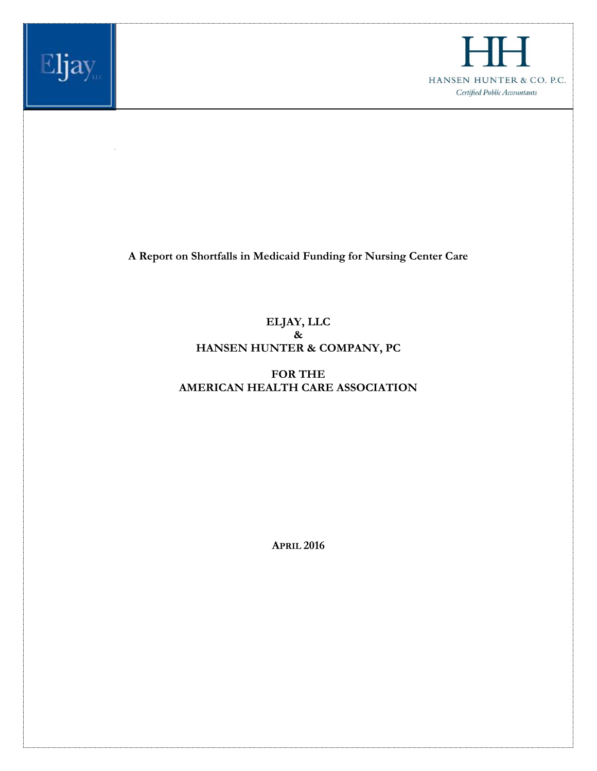



**A Report on Shortfalls in Medicaid Funding for Nursing Center Care**

# **ELJAY, LLC & HANSEN HUNTER & COMPANY, PC**

# **FOR THE AMERICAN HEALTH CARE ASSOCIATION**

**APRIL 2016**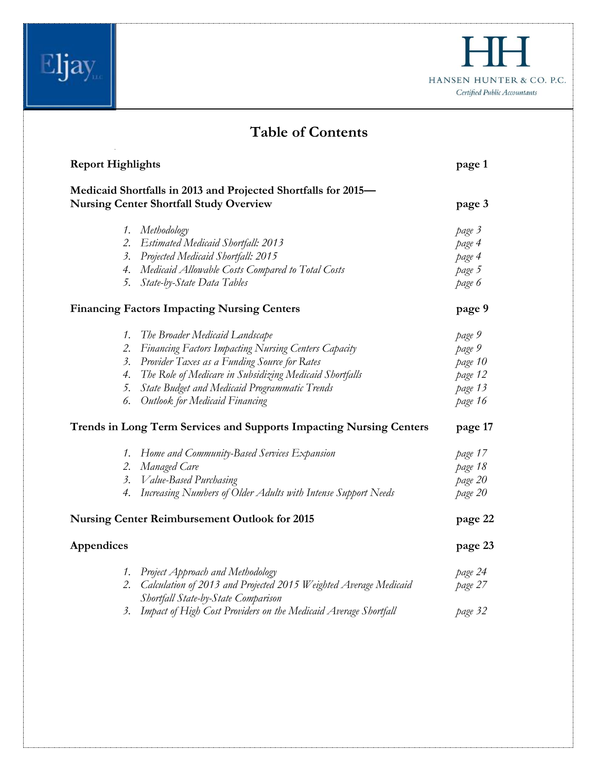|                                                                                                            | HANSEN HUNTER & CO. P.C.<br>Certified Public Accountants |
|------------------------------------------------------------------------------------------------------------|----------------------------------------------------------|
| <b>Table of Contents</b>                                                                                   |                                                          |
| <b>Report Highlights</b>                                                                                   | page 1                                                   |
| Medicaid Shortfalls in 2013 and Projected Shortfalls for 2015-                                             |                                                          |
| <b>Nursing Center Shortfall Study Overview</b>                                                             | page 3                                                   |
| 1. Methodology                                                                                             | page 3                                                   |
| 2. Estimated Medicaid Shortfall: 2013                                                                      | page 4                                                   |
| 3. Projected Medicaid Shortfall: 2015                                                                      | page 4                                                   |
| 4. Medicaid Allowable Costs Compared to Total Costs                                                        | page 5                                                   |
| 5. State-by-State Data Tables                                                                              | page 6                                                   |
| <b>Financing Factors Impacting Nursing Centers</b>                                                         | page 9                                                   |
| 1. The Broader Medicaid Landscape                                                                          | page 9                                                   |
| 2. Financing Factors Impacting Nursing Centers Capacity                                                    | page 9                                                   |
| 3. Provider Taxes as a Funding Source for Rates                                                            | page 10                                                  |
| 4. The Role of Medicare in Subsidizing Medicaid Shortfalls                                                 | page 12                                                  |
| 5. State Budget and Medicaid Programmatic Trends                                                           | page 13                                                  |
| 6. Outlook for Medicaid Financing                                                                          | page 16                                                  |
| Trends in Long Term Services and Supports Impacting Nursing Centers                                        | page 17                                                  |
| 1. Home and Community-Based Services Expansion                                                             | page 17                                                  |
| 2. Managed Care                                                                                            | page 18                                                  |
| Value-Based Purchasing<br>$\beta$ .                                                                        | page 20                                                  |
| Increasing Numbers of Older Adults with Intense Support Needs<br>4.                                        | page 20                                                  |
| <b>Nursing Center Reimbursement Outlook for 2015</b>                                                       | page 22                                                  |
| Appendices                                                                                                 | page 23                                                  |
| 1. Project Approach and Methodology                                                                        | page 24                                                  |
| 2. Calculation of 2013 and Projected 2015 Weighted Average Medicaid<br>Shortfall State-by-State Comparison | page 27                                                  |
| 3. Impact of High Cost Providers on the Medicaid Average Shortfall                                         | page 32                                                  |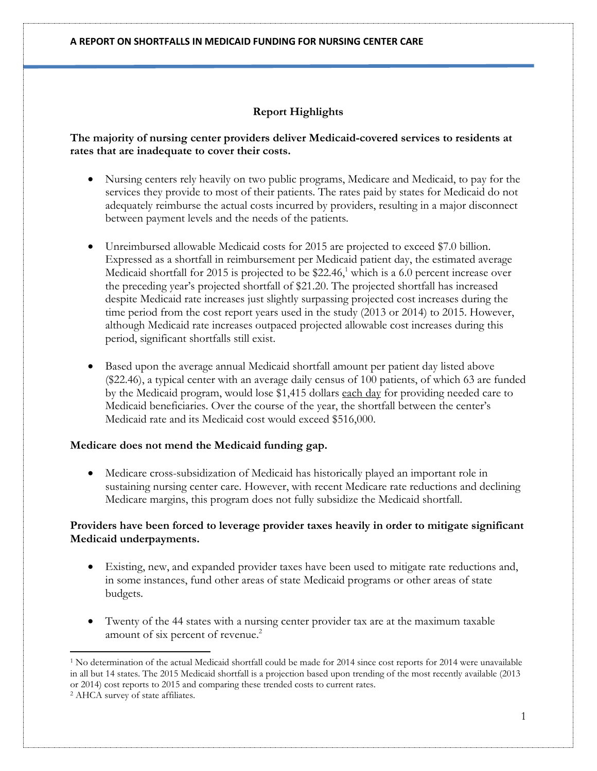## **Report Highlights**

### **The majority of nursing center providers deliver Medicaid-covered services to residents at rates that are inadequate to cover their costs.**

- Nursing centers rely heavily on two public programs, Medicare and Medicaid, to pay for the services they provide to most of their patients. The rates paid by states for Medicaid do not adequately reimburse the actual costs incurred by providers, resulting in a major disconnect between payment levels and the needs of the patients.
- Unreimbursed allowable Medicaid costs for 2015 are projected to exceed \$7.0 billion. Expressed as a shortfall in reimbursement per Medicaid patient day, the estimated average Medicaid shortfall for 2015 is projected to be \$22.46, <sup>1</sup> which is a 6.0 percent increase over the preceding year's projected shortfall of \$21.20. The projected shortfall has increased despite Medicaid rate increases just slightly surpassing projected cost increases during the time period from the cost report years used in the study (2013 or 2014) to 2015. However, although Medicaid rate increases outpaced projected allowable cost increases during this period, significant shortfalls still exist.
- Based upon the average annual Medicaid shortfall amount per patient day listed above (\$22.46), a typical center with an average daily census of 100 patients, of which 63 are funded by the Medicaid program, would lose \$1,415 dollars each day for providing needed care to Medicaid beneficiaries. Over the course of the year, the shortfall between the center's Medicaid rate and its Medicaid cost would exceed \$516,000.

### **Medicare does not mend the Medicaid funding gap.**

 Medicare cross-subsidization of Medicaid has historically played an important role in sustaining nursing center care. However, with recent Medicare rate reductions and declining Medicare margins, this program does not fully subsidize the Medicaid shortfall.

### **Providers have been forced to leverage provider taxes heavily in order to mitigate significant Medicaid underpayments.**

- Existing, new, and expanded provider taxes have been used to mitigate rate reductions and, in some instances, fund other areas of state Medicaid programs or other areas of state budgets.
- Twenty of the 44 states with a nursing center provider tax are at the maximum taxable amount of six percent of revenue.<sup>2</sup>

l

 $1$  No determination of the actual Medicaid shortfall could be made for 2014 since cost reports for 2014 were unavailable in all but 14 states. The 2015 Medicaid shortfall is a projection based upon trending of the most recently available (2013 or 2014) cost reports to 2015 and comparing these trended costs to current rates.

<sup>2</sup> AHCA survey of state affiliates.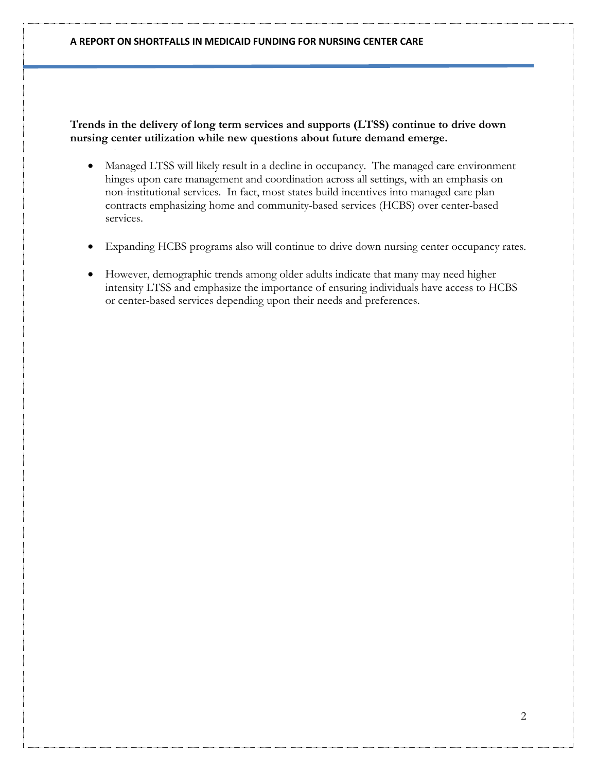**Trends in the delivery of long term services and supports (LTSS) continue to drive down nursing center utilization while new questions about future demand emerge.**

- Managed LTSS will likely result in a decline in occupancy. The managed care environment hinges upon care management and coordination across all settings, with an emphasis on non-institutional services. In fact, most states build incentives into managed care plan contracts emphasizing home and community-based services (HCBS) over center-based services.
- Expanding HCBS programs also will continue to drive down nursing center occupancy rates.
- However, demographic trends among older adults indicate that many may need higher intensity LTSS and emphasize the importance of ensuring individuals have access to HCBS or center-based services depending upon their needs and preferences.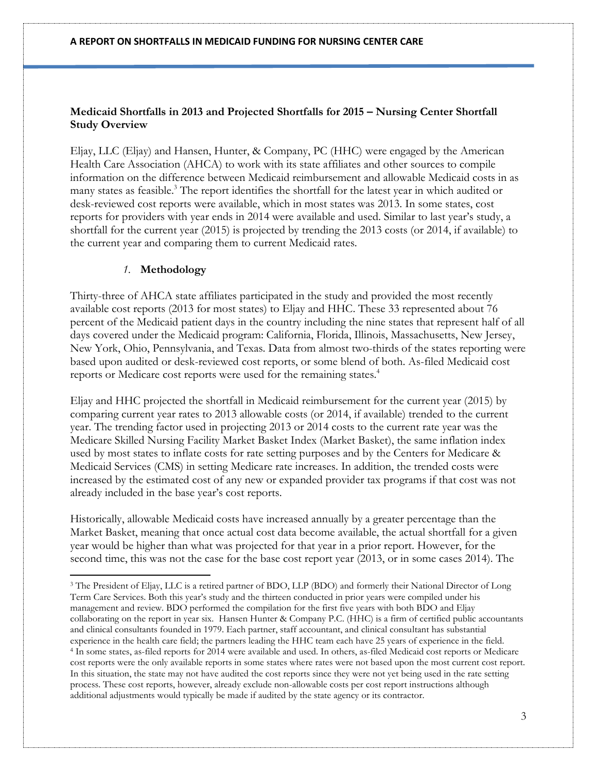### **Medicaid Shortfalls in 2013 and Projected Shortfalls for 2015 – Nursing Center Shortfall Study Overview**

Eljay, LLC (Eljay) and Hansen, Hunter, & Company, PC (HHC) were engaged by the American Health Care Association (AHCA) to work with its state affiliates and other sources to compile information on the difference between Medicaid reimbursement and allowable Medicaid costs in as many states as feasible.<sup>3</sup> The report identifies the shortfall for the latest year in which audited or desk-reviewed cost reports were available, which in most states was 2013. In some states, cost reports for providers with year ends in 2014 were available and used. Similar to last year's study, a shortfall for the current year (2015) is projected by trending the 2013 costs (or 2014, if available) to the current year and comparing them to current Medicaid rates.

### *1.* **Methodology**

l

Thirty-three of AHCA state affiliates participated in the study and provided the most recently available cost reports (2013 for most states) to Eljay and HHC. These 33 represented about 76 percent of the Medicaid patient days in the country including the nine states that represent half of all days covered under the Medicaid program: California, Florida, Illinois, Massachusetts, New Jersey, New York, Ohio, Pennsylvania, and Texas. Data from almost two-thirds of the states reporting were based upon audited or desk-reviewed cost reports, or some blend of both. As-filed Medicaid cost reports or Medicare cost reports were used for the remaining states.<sup>4</sup>

Eljay and HHC projected the shortfall in Medicaid reimbursement for the current year (2015) by comparing current year rates to 2013 allowable costs (or 2014, if available) trended to the current year. The trending factor used in projecting 2013 or 2014 costs to the current rate year was the Medicare Skilled Nursing Facility Market Basket Index (Market Basket), the same inflation index used by most states to inflate costs for rate setting purposes and by the Centers for Medicare & Medicaid Services (CMS) in setting Medicare rate increases. In addition, the trended costs were increased by the estimated cost of any new or expanded provider tax programs if that cost was not already included in the base year's cost reports.

Historically, allowable Medicaid costs have increased annually by a greater percentage than the Market Basket, meaning that once actual cost data become available, the actual shortfall for a given year would be higher than what was projected for that year in a prior report. However, for the second time, this was not the case for the base cost report year (2013, or in some cases 2014). The

<sup>3</sup> The President of Eljay, LLC is a retired partner of BDO, LLP (BDO) and formerly their National Director of Long Term Care Services. Both this year's study and the thirteen conducted in prior years were compiled under his management and review. BDO performed the compilation for the first five years with both BDO and Eljay collaborating on the report in year six. Hansen Hunter & Company P.C. (HHC) is a firm of certified public accountants and clinical consultants founded in 1979. Each partner, staff accountant, and clinical consultant has substantial experience in the health care field; the partners leading the HHC team each have 25 years of experience in the field. <sup>4</sup> In some states, as-filed reports for 2014 were available and used. In others, as-filed Medicaid cost reports or Medicare cost reports were the only available reports in some states where rates were not based upon the most current cost report. In this situation, the state may not have audited the cost reports since they were not yet being used in the rate setting process. These cost reports, however, already exclude non-allowable costs per cost report instructions although additional adjustments would typically be made if audited by the state agency or its contractor.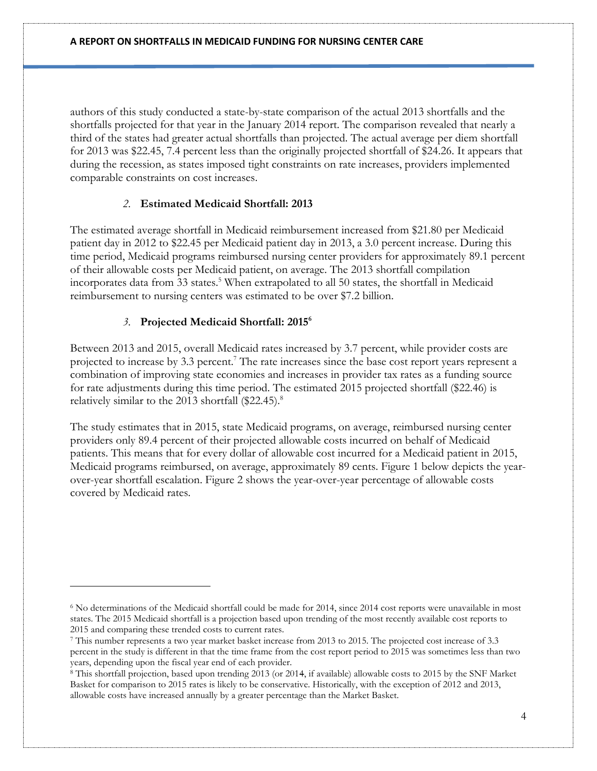authors of this study conducted a state-by-state comparison of the actual 2013 shortfalls and the shortfalls projected for that year in the January 2014 report. The comparison revealed that nearly a third of the states had greater actual shortfalls than projected. The actual average per diem shortfall for 2013 was \$22.45, 7.4 percent less than the originally projected shortfall of \$24.26. It appears that during the recession, as states imposed tight constraints on rate increases, providers implemented comparable constraints on cost increases.

## *2.* **Estimated Medicaid Shortfall: 2013**

The estimated average shortfall in Medicaid reimbursement increased from \$21.80 per Medicaid patient day in 2012 to \$22.45 per Medicaid patient day in 2013, a 3.0 percent increase. During this time period, Medicaid programs reimbursed nursing center providers for approximately 89.1 percent of their allowable costs per Medicaid patient, on average. The 2013 shortfall compilation incorporates data from 33 states.<sup>5</sup> When extrapolated to all 50 states, the shortfall in Medicaid reimbursement to nursing centers was estimated to be over \$7.2 billion.

## *3.* **Projected Medicaid Shortfall: 2015 6**

l

Between 2013 and 2015, overall Medicaid rates increased by 3.7 percent, while provider costs are projected to increase by 3.3 percent.<sup>7</sup> The rate increases since the base cost report years represent a combination of improving state economies and increases in provider tax rates as a funding source for rate adjustments during this time period. The estimated 2015 projected shortfall (\$22.46) is relatively similar to the 2013 shortfall (\$22.45).<sup>8</sup>

The study estimates that in 2015, state Medicaid programs, on average, reimbursed nursing center providers only 89.4 percent of their projected allowable costs incurred on behalf of Medicaid patients. This means that for every dollar of allowable cost incurred for a Medicaid patient in 2015, Medicaid programs reimbursed, on average, approximately 89 cents. Figure 1 below depicts the yearover-year shortfall escalation. Figure 2 shows the year-over-year percentage of allowable costs covered by Medicaid rates.

<sup>&</sup>lt;sup>6</sup> No determinations of the Medicaid shortfall could be made for 2014, since 2014 cost reports were unavailable in most states. The 2015 Medicaid shortfall is a projection based upon trending of the most recently available cost reports to 2015 and comparing these trended costs to current rates.

<sup>7</sup> This number represents a two year market basket increase from 2013 to 2015. The projected cost increase of 3.3 percent in the study is different in that the time frame from the cost report period to 2015 was sometimes less than two years, depending upon the fiscal year end of each provider.

<sup>8</sup> This shortfall projection, based upon trending 2013 (or 2014, if available) allowable costs to 2015 by the SNF Market Basket for comparison to 2015 rates is likely to be conservative. Historically, with the exception of 2012 and 2013, allowable costs have increased annually by a greater percentage than the Market Basket.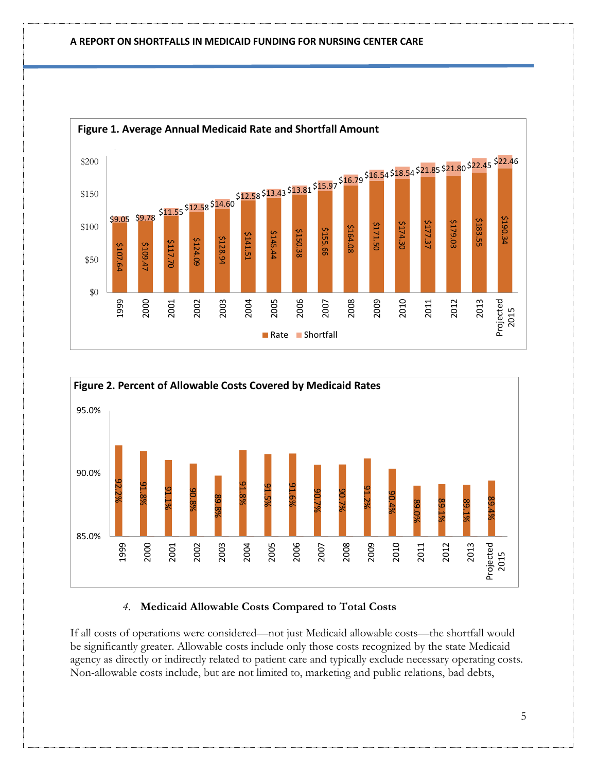



### *4.* **Medicaid Allowable Costs Compared to Total Costs**

If all costs of operations were considered—not just Medicaid allowable costs—the shortfall would be significantly greater. Allowable costs include only those costs recognized by the state Medicaid agency as directly or indirectly related to patient care and typically exclude necessary operating costs.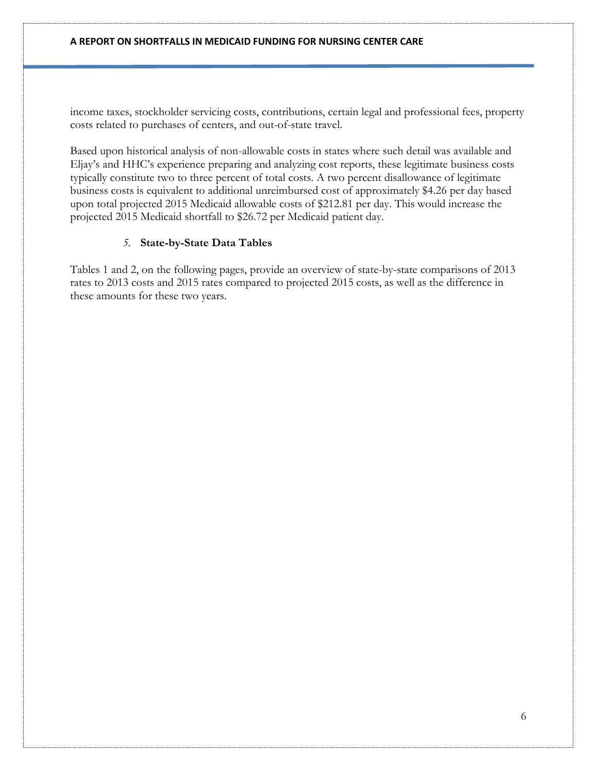income taxes, stockholder servicing costs, contributions, certain legal and professional fees, property costs related to purchases of centers, and out-of-state travel.

Based upon historical analysis of non-allowable costs in states where such detail was available and Eljay's and HHC's experience preparing and analyzing cost reports, these legitimate business costs typically constitute two to three percent of total costs. A two percent disallowance of legitimate business costs is equivalent to additional unreimbursed cost of approximately \$4.26 per day based upon total projected 2015 Medicaid allowable costs of \$212.81 per day. This would increase the projected 2015 Medicaid shortfall to \$26.72 per Medicaid patient day.

### *5.* **State-by-State Data Tables**

Tables 1 and 2, on the following pages, provide an overview of state-by-state comparisons of 2013 rates to 2013 costs and 2015 rates compared to projected 2015 costs, as well as the difference in these amounts for these two years.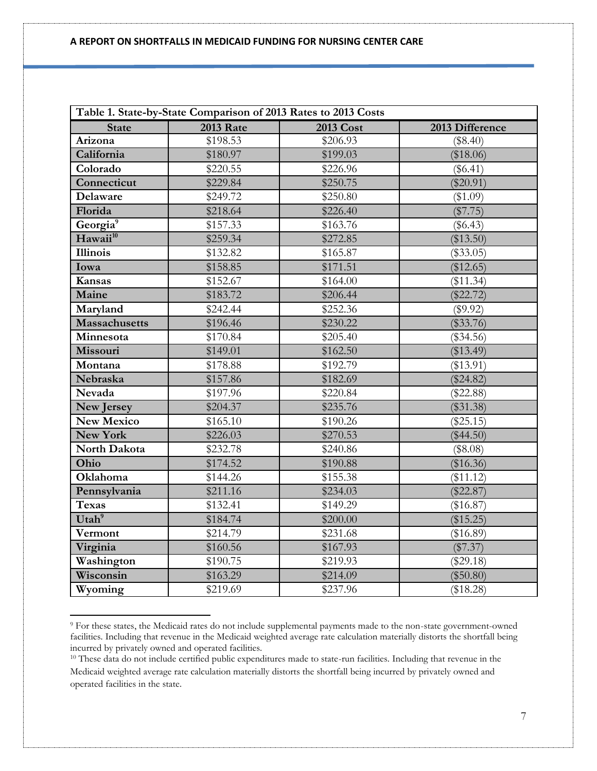| Table 1. State-by-State Comparison of 2013 Rates to 2013 Costs |                  |           |                 |  |  |  |  |  |
|----------------------------------------------------------------|------------------|-----------|-----------------|--|--|--|--|--|
| <b>State</b>                                                   | <b>2013 Rate</b> | 2013 Cost | 2013 Difference |  |  |  |  |  |
| Arizona                                                        | \$198.53         | \$206.93  | (\$8.40)        |  |  |  |  |  |
| California                                                     | \$180.97         | \$199.03  | (\$18.06)       |  |  |  |  |  |
| Colorado                                                       | \$220.55         | \$226.96  | $(\$6.41)$      |  |  |  |  |  |
| Connecticut                                                    | \$229.84         | \$250.75  | $(\$20.91)$     |  |  |  |  |  |
| Delaware                                                       | \$249.72         | \$250.80  | (\$1.09)        |  |  |  |  |  |
| Florida                                                        | \$218.64         | \$226.40  | (\$7.75)        |  |  |  |  |  |
| Georgia <sup>9</sup>                                           | \$157.33         | \$163.76  | $(\$6.43)$      |  |  |  |  |  |
| Hawaii <sup>10</sup>                                           | \$259.34         | \$272.85  | (\$13.50)       |  |  |  |  |  |
| <b>Illinois</b>                                                | \$132.82         | \$165.87  | $(\$33.05)$     |  |  |  |  |  |
| Iowa                                                           | \$158.85         | \$171.51  | (\$12.65)       |  |  |  |  |  |
| Kansas                                                         | \$152.67         | \$164.00  | (\$11.34)       |  |  |  |  |  |
| Maine                                                          | \$183.72         | \$206.44  | $(\$22.72)$     |  |  |  |  |  |
| Maryland                                                       | \$242.44         | \$252.36  | (\$9.92)        |  |  |  |  |  |
| <b>Massachusetts</b>                                           | \$196.46         | \$230.22  | $(\$33.76)$     |  |  |  |  |  |
| Minnesota                                                      | \$170.84         | \$205.40  | $(\$34.56)$     |  |  |  |  |  |
| Missouri                                                       | \$149.01         | \$162.50  | (\$13.49)       |  |  |  |  |  |
| Montana                                                        | \$178.88         | \$192.79  | (\$13.91)       |  |  |  |  |  |
| Nebraska                                                       | \$157.86         | \$182.69  | $(\$24.82)$     |  |  |  |  |  |
| Nevada                                                         | \$197.96         | \$220.84  | $(\$22.88)$     |  |  |  |  |  |
| <b>New Jersey</b>                                              | \$204.37         | \$235.76  | (\$31.38)       |  |  |  |  |  |
| <b>New Mexico</b>                                              | \$165.10         | \$190.26  | $(\$25.15)$     |  |  |  |  |  |
| <b>New York</b>                                                | \$226.03         | \$270.53  | $(\$44.50)$     |  |  |  |  |  |
| North Dakota                                                   | \$232.78         | \$240.86  | (\$8.08)        |  |  |  |  |  |
| Ohio                                                           | \$174.52         | \$190.88  | (\$16.36)       |  |  |  |  |  |
| Oklahoma                                                       | \$144.26         | \$155.38  | (\$11.12)       |  |  |  |  |  |
| Pennsylvania                                                   | \$211.16         | \$234.03  | $(\$22.87)$     |  |  |  |  |  |
| <b>Texas</b>                                                   | \$132.41         | \$149.29  | $(\$16.87)$     |  |  |  |  |  |
| Utah <sup>9</sup>                                              | \$184.74         | \$200.00  | (\$15.25)       |  |  |  |  |  |
| Vermont                                                        | \$214.79         | \$231.68  | $(\$16.89)$     |  |  |  |  |  |
| Virginia                                                       | \$160.56         | \$167.93  | (\$7.37)        |  |  |  |  |  |
| Washington                                                     | \$190.75         | \$219.93  | $(\$29.18)$     |  |  |  |  |  |
| Wisconsin                                                      | \$163.29         | \$214.09  | $(\$50.80)$     |  |  |  |  |  |
| Wyoming                                                        | \$219.69         | \$237.96  | (\$18.28)       |  |  |  |  |  |

<sup>9</sup> For these states, the Medicaid rates do not include supplemental payments made to the non-state government-owned facilities. Including that revenue in the Medicaid weighted average rate calculation materially distorts the shortfall being incurred by privately owned and operated facilities.

 $\overline{a}$ 

<sup>&</sup>lt;sup>10</sup> These data do not include certified public expenditures made to state-run facilities. Including that revenue in the Medicaid weighted average rate calculation materially distorts the shortfall being incurred by privately owned and operated facilities in the state.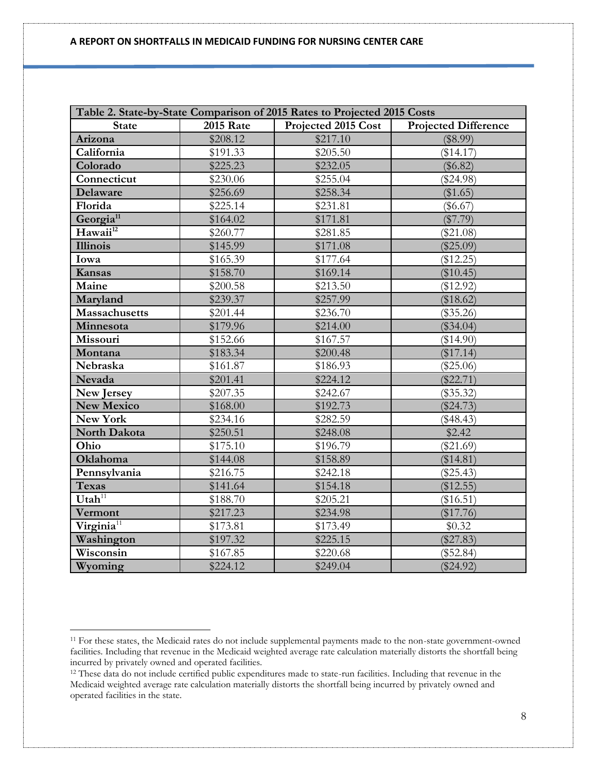| Table 2. State-by-State Comparison of 2015 Rates to Projected 2015 Costs |                  |                     |                             |  |  |  |  |  |  |
|--------------------------------------------------------------------------|------------------|---------------------|-----------------------------|--|--|--|--|--|--|
| <b>State</b>                                                             | <b>2015 Rate</b> | Projected 2015 Cost | <b>Projected Difference</b> |  |  |  |  |  |  |
| Arizona                                                                  | \$208.12         | \$217.10            | (\$8.99)                    |  |  |  |  |  |  |
| California                                                               | \$191.33         | \$205.50            | (\$14.17)                   |  |  |  |  |  |  |
| Colorado                                                                 | \$225.23         | \$232.05            | $(\$6.82)$                  |  |  |  |  |  |  |
| Connecticut                                                              | \$230.06         | \$255.04            | $(\$24.98)$                 |  |  |  |  |  |  |
| Delaware                                                                 | \$256.69         | \$258.34            | (\$1.65)                    |  |  |  |  |  |  |
| Florida                                                                  | \$225.14         | \$231.81            | $(\$6.67)$                  |  |  |  |  |  |  |
| Georgia <sup>11</sup>                                                    | \$164.02         | \$171.81            | $(\$7.79)$                  |  |  |  |  |  |  |
| Hawaii <sup>12</sup>                                                     | \$260.77         | \$281.85            | $(\$21.08)$                 |  |  |  |  |  |  |
| Illinois                                                                 | \$145.99         | \$171.08            | $(\$25.09)$                 |  |  |  |  |  |  |
| Iowa                                                                     | \$165.39         | \$177.64            | (\$12.25)                   |  |  |  |  |  |  |
| Kansas                                                                   | \$158.70         | \$169.14            | $(\$10.45)$                 |  |  |  |  |  |  |
| Maine                                                                    | \$200.58         | \$213.50            | (\$12.92)                   |  |  |  |  |  |  |
| Maryland                                                                 | \$239.37         | \$257.99            | (\$18.62)                   |  |  |  |  |  |  |
| <b>Massachusetts</b>                                                     | \$201.44         | \$236.70            | $(\$35.26)$                 |  |  |  |  |  |  |
| Minnesota                                                                | \$179.96         | \$214.00            | $(\$34.04)$                 |  |  |  |  |  |  |
| Missouri                                                                 | \$152.66         | \$167.57            | (\$14.90)                   |  |  |  |  |  |  |
| Montana                                                                  | \$183.34         | \$200.48            | (\$17.14)                   |  |  |  |  |  |  |
| Nebraska                                                                 | \$161.87         | \$186.93            | $(\$25.06)$                 |  |  |  |  |  |  |
| Nevada                                                                   | \$201.41         | \$224.12            | $(\$22.71)$                 |  |  |  |  |  |  |
| New Jersey                                                               | \$207.35         | \$242.67            | $(\$35.32)$                 |  |  |  |  |  |  |
| <b>New Mexico</b>                                                        | \$168.00         | \$192.73            | $(\$24.73)$                 |  |  |  |  |  |  |
| New York                                                                 | \$234.16         | \$282.59            | $(\$48.43)$                 |  |  |  |  |  |  |
| North Dakota                                                             | \$250.51         | \$248.08            | \$2.42                      |  |  |  |  |  |  |
| Ohio                                                                     | \$175.10         | \$196.79            | $(\$21.69)$                 |  |  |  |  |  |  |
| Oklahoma                                                                 | \$144.08         | \$158.89            | (\$14.81)                   |  |  |  |  |  |  |
| Pennsylvania                                                             | \$216.75         | \$242.18            | $(\$25.43)$                 |  |  |  |  |  |  |
| <b>Texas</b>                                                             | \$141.64         | \$154.18            | (\$12.55)                   |  |  |  |  |  |  |
| $Utah^{11}$                                                              | \$188.70         | \$205.21            | (\$16.51)                   |  |  |  |  |  |  |
| Vermont                                                                  | \$217.23         | \$234.98            | $(\$17.76)$                 |  |  |  |  |  |  |
| Virginia <sup>11</sup>                                                   | \$173.81         | \$173.49            | \$0.32                      |  |  |  |  |  |  |
| Washington                                                               | \$197.32         | \$225.15            | $(\$27.83)$                 |  |  |  |  |  |  |
| Wisconsin                                                                | \$167.85         | \$220.68            | $(\$52.84)$                 |  |  |  |  |  |  |
| Wyoming                                                                  | \$224.12         | \$249.04            | $(\$24.92)$                 |  |  |  |  |  |  |

 $\overline{\phantom{a}}$ 

<sup>&</sup>lt;sup>11</sup> For these states, the Medicaid rates do not include supplemental payments made to the non-state government-owned facilities. Including that revenue in the Medicaid weighted average rate calculation materially distorts the shortfall being incurred by privately owned and operated facilities.

<sup>12</sup> These data do not include certified public expenditures made to state-run facilities. Including that revenue in the Medicaid weighted average rate calculation materially distorts the shortfall being incurred by privately owned and operated facilities in the state.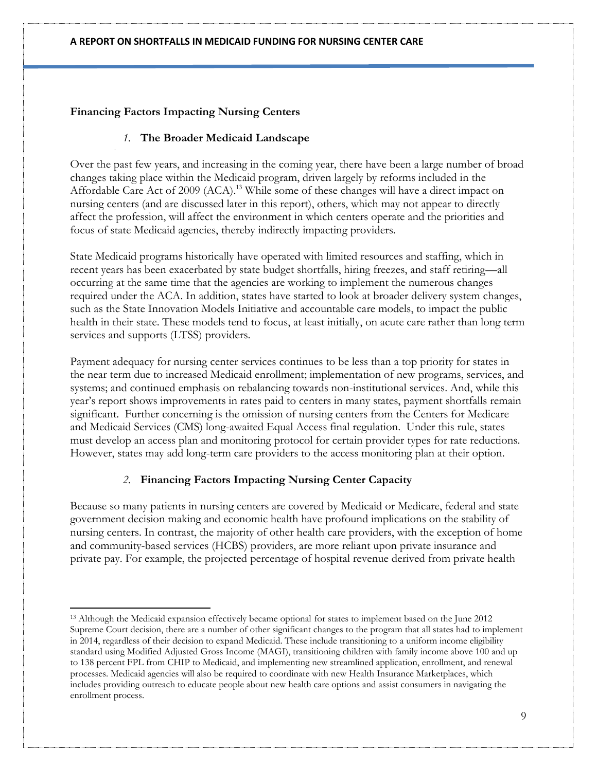# **Financing Factors Impacting Nursing Centers**

### *1.* **The Broader Medicaid Landscape**

Over the past few years, and increasing in the coming year, there have been a large number of broad changes taking place within the Medicaid program, driven largely by reforms included in the Affordable Care Act of 2009 (ACA).<sup>13</sup> While some of these changes will have a direct impact on nursing centers (and are discussed later in this report), others, which may not appear to directly affect the profession, will affect the environment in which centers operate and the priorities and focus of state Medicaid agencies, thereby indirectly impacting providers.

State Medicaid programs historically have operated with limited resources and staffing, which in recent years has been exacerbated by state budget shortfalls, hiring freezes, and staff retiring—all occurring at the same time that the agencies are working to implement the numerous changes required under the ACA. In addition, states have started to look at broader delivery system changes, such as the State Innovation Models Initiative and accountable care models, to impact the public health in their state. These models tend to focus, at least initially, on acute care rather than long term services and supports (LTSS) providers.

Payment adequacy for nursing center services continues to be less than a top priority for states in the near term due to increased Medicaid enrollment; implementation of new programs, services, and systems; and continued emphasis on rebalancing towards non-institutional services. And, while this year's report shows improvements in rates paid to centers in many states, payment shortfalls remain significant. Further concerning is the omission of nursing centers from the Centers for Medicare and Medicaid Services (CMS) long-awaited Equal Access final regulation. Under this rule, states must develop an access plan and monitoring protocol for certain provider types for rate reductions. However, states may add long-term care providers to the access monitoring plan at their option.

# *2.* **Financing Factors Impacting Nursing Center Capacity**

Because so many patients in nursing centers are covered by Medicaid or Medicare, federal and state government decision making and economic health have profound implications on the stability of nursing centers. In contrast, the majority of other health care providers, with the exception of home and community-based services (HCBS) providers, are more reliant upon private insurance and private pay. For example, the projected percentage of hospital revenue derived from private health

l <sup>13</sup> Although the Medicaid expansion effectively became optional for states to implement based on the June 2012 Supreme Court decision, there are a number of other significant changes to the program that all states had to implement in 2014, regardless of their decision to expand Medicaid. These include transitioning to a uniform income eligibility standard using Modified Adjusted Gross Income (MAGI), transitioning children with family income above 100 and up to 138 percent FPL from CHIP to Medicaid, and implementing new streamlined application, enrollment, and renewal processes. Medicaid agencies will also be required to coordinate with new Health Insurance Marketplaces, which includes providing outreach to educate people about new health care options and assist consumers in navigating the enrollment process.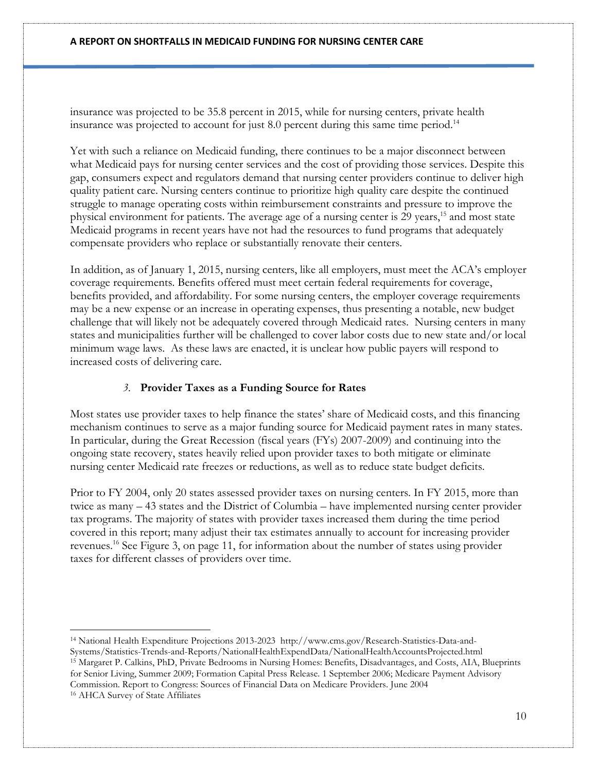insurance was projected to be 35.8 percent in 2015, while for nursing centers, private health insurance was projected to account for just  $8.0$  percent during this same time period.<sup>14</sup>

Yet with such a reliance on Medicaid funding, there continues to be a major disconnect between what Medicaid pays for nursing center services and the cost of providing those services. Despite this gap, consumers expect and regulators demand that nursing center providers continue to deliver high quality patient care. Nursing centers continue to prioritize high quality care despite the continued struggle to manage operating costs within reimbursement constraints and pressure to improve the physical environment for patients. The average age of a nursing center is 29 years,<sup>15</sup> and most state Medicaid programs in recent years have not had the resources to fund programs that adequately compensate providers who replace or substantially renovate their centers.

In addition, as of January 1, 2015, nursing centers, like all employers, must meet the ACA's employer coverage requirements. Benefits offered must meet certain federal requirements for coverage, benefits provided, and affordability. For some nursing centers, the employer coverage requirements may be a new expense or an increase in operating expenses, thus presenting a notable, new budget challenge that will likely not be adequately covered through Medicaid rates. Nursing centers in many states and municipalities further will be challenged to cover labor costs due to new state and/or local minimum wage laws. As these laws are enacted, it is unclear how public payers will respond to increased costs of delivering care.

### *3.* **Provider Taxes as a Funding Source for Rates**

 $\overline{\phantom{a}}$ 

Most states use provider taxes to help finance the states' share of Medicaid costs, and this financing mechanism continues to serve as a major funding source for Medicaid payment rates in many states. In particular, during the Great Recession (fiscal years (FYs) 2007-2009) and continuing into the ongoing state recovery, states heavily relied upon provider taxes to both mitigate or eliminate nursing center Medicaid rate freezes or reductions, as well as to reduce state budget deficits.

Prior to FY 2004, only 20 states assessed provider taxes on nursing centers. In FY 2015, more than twice as many – 43 states and the District of Columbia – have implemented nursing center provider tax programs. The majority of states with provider taxes increased them during the time period covered in this report; many adjust their tax estimates annually to account for increasing provider revenues. <sup>16</sup> See Figure 3, on page 11, for information about the number of states using provider taxes for different classes of providers over time.

<sup>14</sup> National Health Expenditure Projections 2013-2023 http://www.cms.gov/Research-Statistics-Data-and-Systems/Statistics-Trends-and-Reports/NationalHealthExpendData/NationalHealthAccountsProjected.html <sup>15</sup> Margaret P. Calkins, PhD, Private Bedrooms in Nursing Homes: Benefits, Disadvantages, and Costs, AIA, Blueprints for Senior Living, Summer 2009; Formation Capital Press Release. 1 September 2006; Medicare Payment Advisory Commission. Report to Congress: Sources of Financial Data on Medicare Providers. June 2004 <sup>16</sup> AHCA Survey of State Affiliates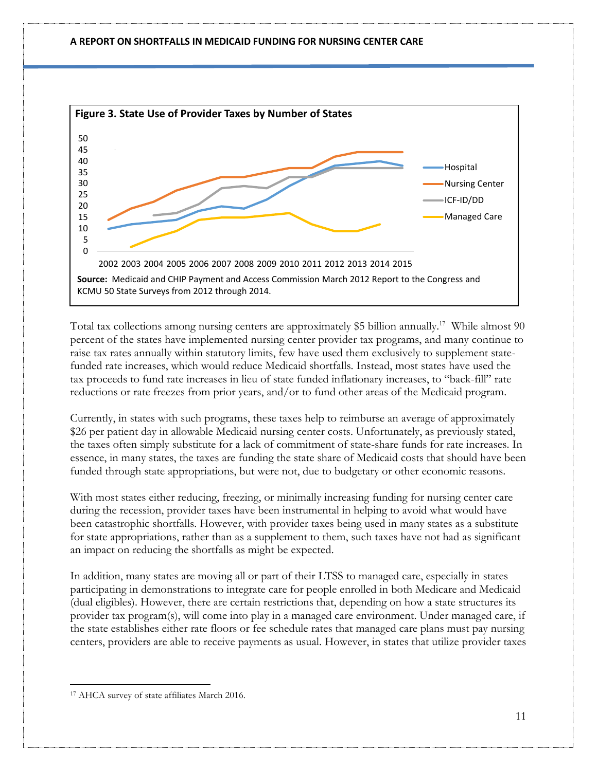

Total tax collections among nursing centers are approximately \$5 billion annually.<sup>17</sup> While almost 90 percent of the states have implemented nursing center provider tax programs, and many continue to raise tax rates annually within statutory limits, few have used them exclusively to supplement statefunded rate increases, which would reduce Medicaid shortfalls. Instead, most states have used the tax proceeds to fund rate increases in lieu of state funded inflationary increases, to "back-fill" rate reductions or rate freezes from prior years, and/or to fund other areas of the Medicaid program.

Currently, in states with such programs, these taxes help to reimburse an average of approximately \$26 per patient day in allowable Medicaid nursing center costs. Unfortunately, as previously stated, the taxes often simply substitute for a lack of commitment of state-share funds for rate increases. In essence, in many states, the taxes are funding the state share of Medicaid costs that should have been funded through state appropriations, but were not, due to budgetary or other economic reasons.

With most states either reducing, freezing, or minimally increasing funding for nursing center care during the recession, provider taxes have been instrumental in helping to avoid what would have been catastrophic shortfalls. However, with provider taxes being used in many states as a substitute for state appropriations, rather than as a supplement to them, such taxes have not had as significant an impact on reducing the shortfalls as might be expected.

In addition, many states are moving all or part of their LTSS to managed care, especially in states participating in demonstrations to integrate care for people enrolled in both Medicare and Medicaid (dual eligibles). However, there are certain restrictions that, depending on how a state structures its provider tax program(s), will come into play in a managed care environment. Under managed care, if the state establishes either rate floors or fee schedule rates that managed care plans must pay nursing centers, providers are able to receive payments as usual. However, in states that utilize provider taxes

 $\overline{a}$ 

<sup>17</sup> AHCA survey of state affiliates March 2016.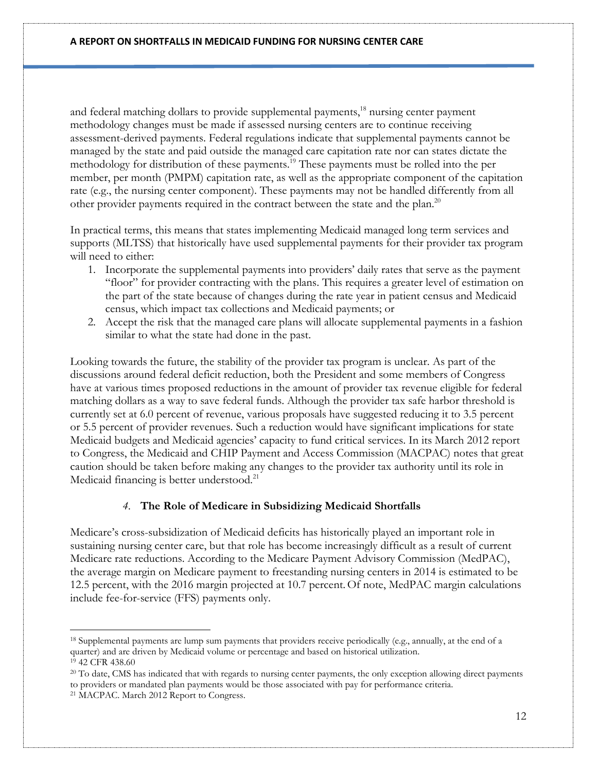and federal matching dollars to provide supplemental payments,<sup>18</sup> nursing center payment methodology changes must be made if assessed nursing centers are to continue receiving assessment-derived payments. Federal regulations indicate that supplemental payments cannot be managed by the state and paid outside the managed care capitation rate nor can states dictate the methodology for distribution of these payments. <sup>19</sup> These payments must be rolled into the per member, per month (PMPM) capitation rate, as well as the appropriate component of the capitation rate (e.g., the nursing center component). These payments may not be handled differently from all other provider payments required in the contract between the state and the plan.<sup>20</sup>

In practical terms, this means that states implementing Medicaid managed long term services and supports (MLTSS) that historically have used supplemental payments for their provider tax program will need to either:

- 1. Incorporate the supplemental payments into providers' daily rates that serve as the payment "floor" for provider contracting with the plans. This requires a greater level of estimation on the part of the state because of changes during the rate year in patient census and Medicaid census, which impact tax collections and Medicaid payments; or
- 2. Accept the risk that the managed care plans will allocate supplemental payments in a fashion similar to what the state had done in the past.

Looking towards the future, the stability of the provider tax program is unclear. As part of the discussions around federal deficit reduction, both the President and some members of Congress have at various times proposed reductions in the amount of provider tax revenue eligible for federal matching dollars as a way to save federal funds. Although the provider tax safe harbor threshold is currently set at 6.0 percent of revenue, various proposals have suggested reducing it to 3.5 percent or 5.5 percent of provider revenues. Such a reduction would have significant implications for state Medicaid budgets and Medicaid agencies' capacity to fund critical services. In its March 2012 report to Congress, the Medicaid and CHIP Payment and Access Commission (MACPAC) notes that great caution should be taken before making any changes to the provider tax authority until its role in Medicaid financing is better understood.<sup>21</sup>

### *4.* **The Role of Medicare in Subsidizing Medicaid Shortfalls**

Medicare's cross-subsidization of Medicaid deficits has historically played an important role in sustaining nursing center care, but that role has become increasingly difficult as a result of current Medicare rate reductions. According to the Medicare Payment Advisory Commission (MedPAC), the average margin on Medicare payment to freestanding nursing centers in 2014 is estimated to be 12.5 percent, with the 2016 margin projected at 10.7 percent.Of note, MedPAC margin calculations include fee-for-service (FFS) payments only.

 $\overline{\phantom{a}}$ 

<sup>18</sup> Supplemental payments are lump sum payments that providers receive periodically (e.g., annually, at the end of a quarter) and are driven by Medicaid volume or percentage and based on historical utilization. <sup>19</sup> 42 CFR 438.60

<sup>&</sup>lt;sup>20</sup> To date, CMS has indicated that with regards to nursing center payments, the only exception allowing direct payments to providers or mandated plan payments would be those associated with pay for performance criteria. <sup>21</sup> MACPAC. March 2012 Report to Congress.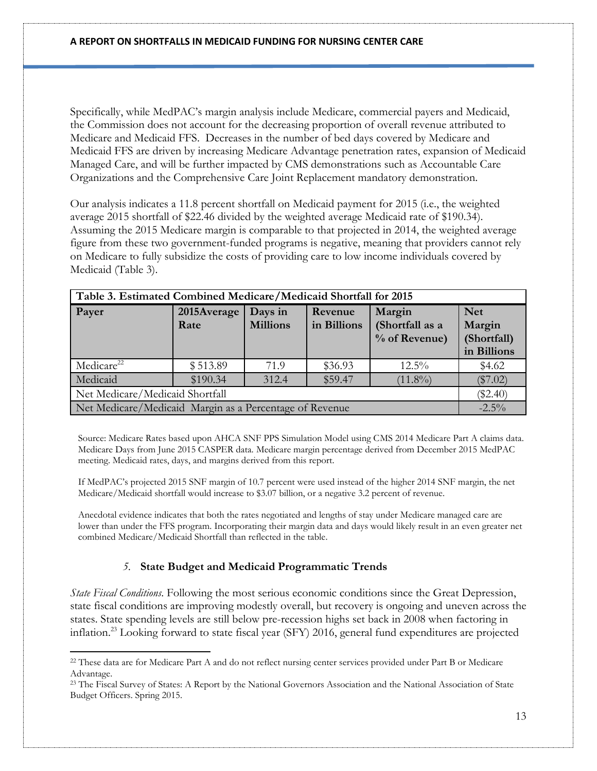Specifically, while MedPAC's margin analysis include Medicare, commercial payers and Medicaid, the Commission does not account for the decreasing proportion of overall revenue attributed to Medicare and Medicaid FFS. Decreases in the number of bed days covered by Medicare and Medicaid FFS are driven by increasing Medicare Advantage penetration rates, expansion of Medicaid Managed Care, and will be further impacted by CMS demonstrations such as Accountable Care Organizations and the Comprehensive Care Joint Replacement mandatory demonstration.

Our analysis indicates a 11.8 percent shortfall on Medicaid payment for 2015 (i.e., the weighted average 2015 shortfall of \$22.46 divided by the weighted average Medicaid rate of \$190.34). Assuming the 2015 Medicare margin is comparable to that projected in 2014, the weighted average figure from these two government-funded programs is negative, meaning that providers cannot rely on Medicare to fully subsidize the costs of providing care to low income individuals covered by Medicaid (Table 3).

| Table 3. Estimated Combined Medicare/Medicaid Shortfall for 2015 |                     |                                                    |         |          |        |  |  |  |
|------------------------------------------------------------------|---------------------|----------------------------------------------------|---------|----------|--------|--|--|--|
| Payer                                                            | 2015Average<br>Rate | <b>Net</b><br>Margin<br>(Shortfall)<br>in Billions |         |          |        |  |  |  |
| Medicare <sup>22</sup>                                           | \$513.89            | 71.9                                               | \$36.93 | $12.5\%$ | \$4.62 |  |  |  |
| Medicaid<br>\$59.47<br>\$190.34<br>$(11.8\%)$<br>312.4           |                     |                                                    |         |          |        |  |  |  |
| Net Medicare/Medicaid Shortfall                                  |                     |                                                    |         |          |        |  |  |  |
| Net Medicare/Medicaid Margin as a Percentage of Revenue          |                     |                                                    |         |          |        |  |  |  |

Source: Medicare Rates based upon AHCA SNF PPS Simulation Model using CMS 2014 Medicare Part A claims data. Medicare Days from June 2015 CASPER data. Medicare margin percentage derived from December 2015 MedPAC meeting. Medicaid rates, days, and margins derived from this report.

If MedPAC's projected 2015 SNF margin of 10.7 percent were used instead of the higher 2014 SNF margin, the net Medicare/Medicaid shortfall would increase to \$3.07 billion, or a negative 3.2 percent of revenue.

Anecdotal evidence indicates that both the rates negotiated and lengths of stay under Medicare managed care are lower than under the FFS program. Incorporating their margin data and days would likely result in an even greater net combined Medicare/Medicaid Shortfall than reflected in the table.

# *5.* **State Budget and Medicaid Programmatic Trends**

l

*State Fiscal Conditions*. Following the most serious economic conditions since the Great Depression, state fiscal conditions are improving modestly overall, but recovery is ongoing and uneven across the states. State spending levels are still below pre-recession highs set back in 2008 when factoring in inflation. <sup>23</sup> Looking forward to state fiscal year (SFY) 2016, general fund expenditures are projected

<sup>&</sup>lt;sup>22</sup> These data are for Medicare Part A and do not reflect nursing center services provided under Part B or Medicare Advantage.

<sup>&</sup>lt;sup>23</sup> The Fiscal Survey of States: A Report by the National Governors Association and the National Association of State Budget Officers. Spring 2015.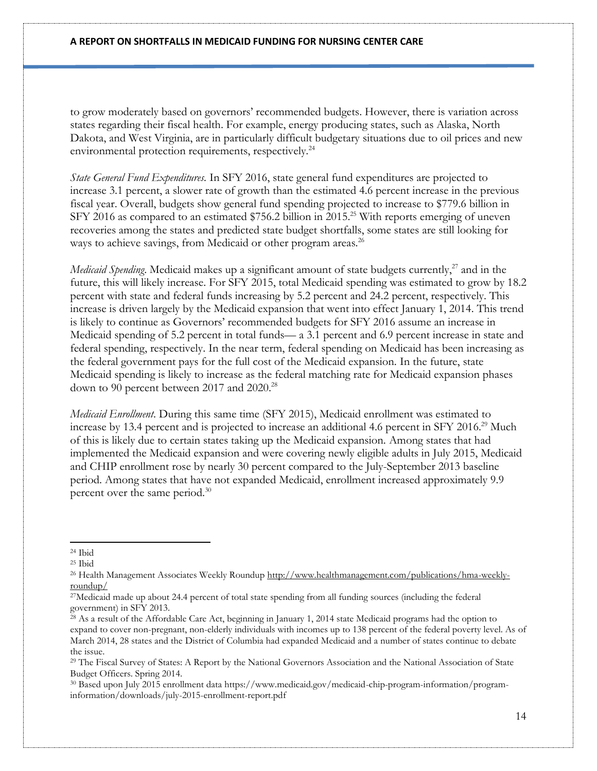to grow moderately based on governors' recommended budgets. However, there is variation across states regarding their fiscal health. For example, energy producing states, such as Alaska, North Dakota, and West Virginia, are in particularly difficult budgetary situations due to oil prices and new environmental protection requirements, respectively.<sup>24</sup>

*State General Fund Expenditures.* In SFY 2016, state general fund expenditures are projected to increase 3.1 percent, a slower rate of growth than the estimated 4.6 percent increase in the previous fiscal year. Overall, budgets show general fund spending projected to increase to \$779.6 billion in SFY 2016 as compared to an estimated \$756.2 billion in 2015. <sup>25</sup> With reports emerging of uneven recoveries among the states and predicted state budget shortfalls, some states are still looking for ways to achieve savings, from Medicaid or other program areas.<sup>26</sup>

*Medicaid Spending*. Medicaid makes up a significant amount of state budgets currently,<sup>27</sup> and in the future, this will likely increase. For SFY 2015, total Medicaid spending was estimated to grow by 18.2 percent with state and federal funds increasing by 5.2 percent and 24.2 percent, respectively. This increase is driven largely by the Medicaid expansion that went into effect January 1, 2014. This trend is likely to continue as Governors' recommended budgets for SFY 2016 assume an increase in Medicaid spending of 5.2 percent in total funds— a 3.1 percent and 6.9 percent increase in state and federal spending, respectively. In the near term, federal spending on Medicaid has been increasing as the federal government pays for the full cost of the Medicaid expansion. In the future, state Medicaid spending is likely to increase as the federal matching rate for Medicaid expansion phases down to 90 percent between 2017 and 2020.<sup>28</sup>

*Medicaid Enrollment*. During this same time (SFY 2015), Medicaid enrollment was estimated to increase by 13.4 percent and is projected to increase an additional 4.6 percent in SFY 2016.<sup>29</sup> Much of this is likely due to certain states taking up the Medicaid expansion. Among states that had implemented the Medicaid expansion and were covering newly eligible adults in July 2015, Medicaid and CHIP enrollment rose by nearly 30 percent compared to the July-September 2013 baseline period. Among states that have not expanded Medicaid, enrollment increased approximately 9.9 percent over the same period.<sup>30</sup>

l <sup>24</sup> Ibid

 $25$  Ibid

<sup>26</sup> Health Management Associates Weekly Roundup [http://www.healthmanagement.com/publications/hma-weekly](http://www.healthmanagement.com/publications/hma-weekly-roundup/)[roundup/](http://www.healthmanagement.com/publications/hma-weekly-roundup/)

<sup>27</sup>Medicaid made up about 24.4 percent of total state spending from all funding sources (including the federal government) in SFY 2013.

<sup>&</sup>lt;sup>28</sup> As a result of the Affordable Care Act, beginning in January 1, 2014 state Medicaid programs had the option to expand to cover non-pregnant, non-elderly individuals with incomes up to 138 percent of the federal poverty level. As of March 2014, 28 states and the District of Columbia had expanded Medicaid and a number of states continue to debate the issue.

<sup>29</sup> The Fiscal Survey of States: A Report by the National Governors Association and the National Association of State Budget Officers. Spring 2014.

<sup>30</sup> Based upon July 2015 enrollment data https://www.medicaid.gov/medicaid-chip-program-information/programinformation/downloads/july-2015-enrollment-report.pdf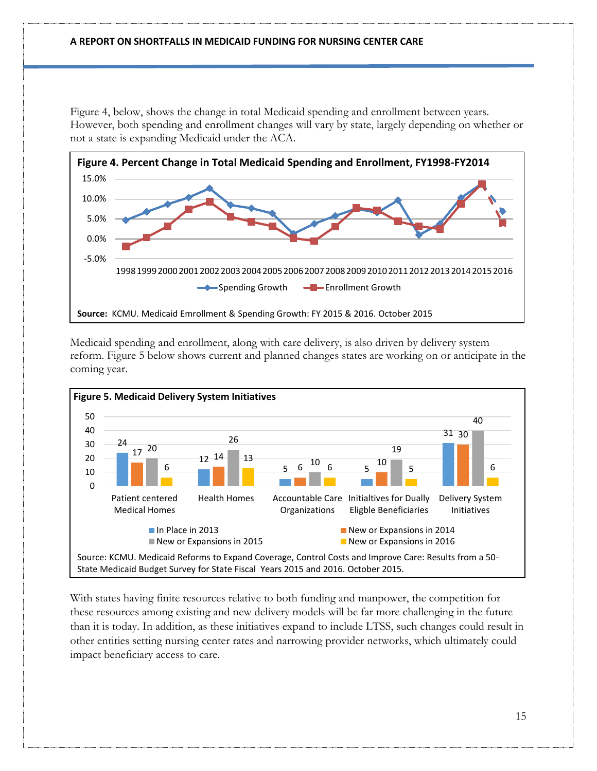Figure 4, below, shows the change in total Medicaid spending and enrollment between years. However, both spending and enrollment changes will vary by state, largely depending on whether or not a state is expanding Medicaid under the ACA.



Medicaid spending and enrollment, along with care delivery, is also driven by delivery system reform. Figure 5 below shows current and planned changes states are working on or anticipate in the coming year.



With states having finite resources relative to both funding and manpower, the competition for these resources among existing and new delivery models will be far more challenging in the future than it is today. In addition, as these initiatives expand to include LTSS, such changes could result in other entities setting nursing center rates and narrowing provider networks, which ultimately could impact beneficiary access to care.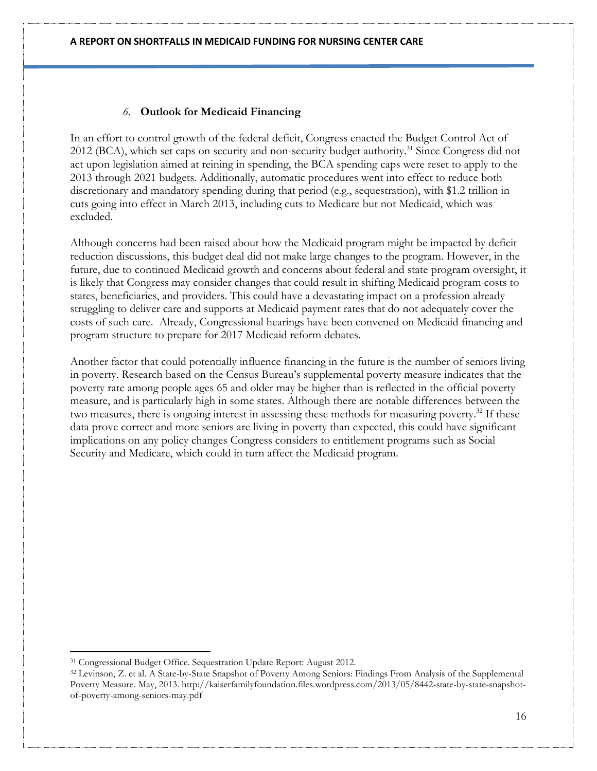### *6.* **Outlook for Medicaid Financing**

In an effort to control growth of the federal deficit, Congress enacted the Budget Control Act of 2012 (BCA), which set caps on security and non-security budget authority. <sup>31</sup> Since Congress did not act upon legislation aimed at reining in spending, the BCA spending caps were reset to apply to the 2013 through 2021 budgets. Additionally, automatic procedures went into effect to reduce both discretionary and mandatory spending during that period (e.g., sequestration), with \$1.2 trillion in cuts going into effect in March 2013, including cuts to Medicare but not Medicaid, which was excluded.

Although concerns had been raised about how the Medicaid program might be impacted by deficit reduction discussions, this budget deal did not make large changes to the program. However, in the future, due to continued Medicaid growth and concerns about federal and state program oversight, it is likely that Congress may consider changes that could result in shifting Medicaid program costs to states, beneficiaries, and providers. This could have a devastating impact on a profession already struggling to deliver care and supports at Medicaid payment rates that do not adequately cover the costs of such care. Already, Congressional hearings have been convened on Medicaid financing and program structure to prepare for 2017 Medicaid reform debates.

Another factor that could potentially influence financing in the future is the number of seniors living in poverty. Research based on the Census Bureau's supplemental poverty measure indicates that the poverty rate among people ages 65 and older may be higher than is reflected in the official poverty measure, and is particularly high in some states. Although there are notable differences between the two measures, there is ongoing interest in assessing these methods for measuring poverty.<sup>32</sup> If these data prove correct and more seniors are living in poverty than expected, this could have significant implications on any policy changes Congress considers to entitlement programs such as Social Security and Medicare, which could in turn affect the Medicaid program.

l

<sup>31</sup> Congressional Budget Office. Sequestration Update Report: August 2012.

<sup>32</sup> Levinson, Z. et al. A State-by-State Snapshot of Poverty Among Seniors: Findings From Analysis of the Supplemental Poverty Measure. May, 2013. http://kaiserfamilyfoundation.files.wordpress.com/2013/05/8442-state-by-state-snapshotof-poverty-among-seniors-may.pdf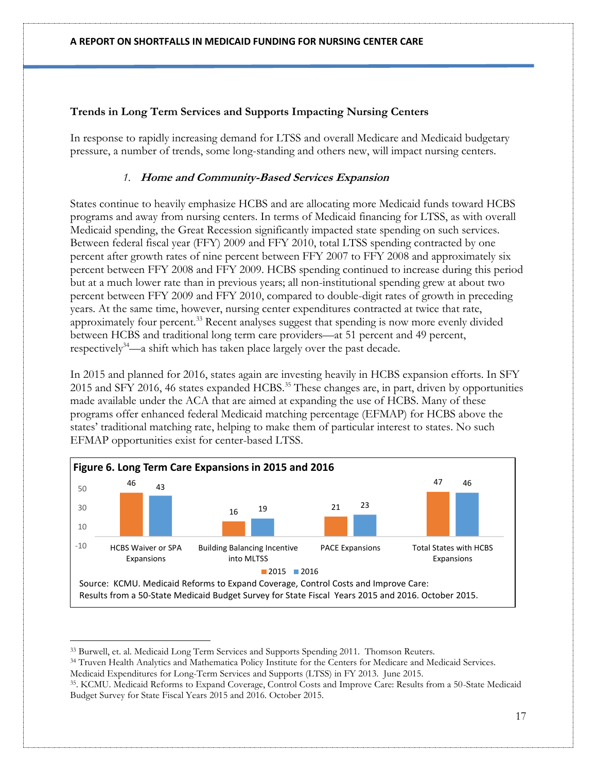## **Trends in Long Term Services and Supports Impacting Nursing Centers**

In response to rapidly increasing demand for LTSS and overall Medicare and Medicaid budgetary pressure, a number of trends, some long-standing and others new, will impact nursing centers.

### *1.* **Home and Community-Based Services Expansion**

States continue to heavily emphasize HCBS and are allocating more Medicaid funds toward HCBS programs and away from nursing centers. In terms of Medicaid financing for LTSS, as with overall Medicaid spending, the Great Recession significantly impacted state spending on such services. Between federal fiscal year (FFY) 2009 and FFY 2010, total LTSS spending contracted by one percent after growth rates of nine percent between FFY 2007 to FFY 2008 and approximately six percent between FFY 2008 and FFY 2009. HCBS spending continued to increase during this period but at a much lower rate than in previous years; all non-institutional spending grew at about two percent between FFY 2009 and FFY 2010, compared to double-digit rates of growth in preceding years. At the same time, however, nursing center expenditures contracted at twice that rate, approximately four percent.<sup>33</sup> Recent analyses suggest that spending is now more evenly divided between HCBS and traditional long term care providers—at 51 percent and 49 percent, respectively<sup>34</sup>—a shift which has taken place largely over the past decade.

In 2015 and planned for 2016, states again are investing heavily in HCBS expansion efforts. In SFY 2015 and SFY 2016, 46 states expanded HCBS.<sup>35</sup> These changes are, in part, driven by opportunities made available under the ACA that are aimed at expanding the use of HCBS. Many of these programs offer enhanced federal Medicaid matching percentage (EFMAP) for HCBS above the states' traditional matching rate, helping to make them of particular interest to states. No such EFMAP opportunities exist for center-based LTSS.



<sup>33</sup> Burwell, et. al. Medicaid Long Term Services and Supports Spending 2011. Thomson Reuters.

<sup>34</sup> Truven Health Analytics and Mathematica Policy Institute for the Centers for Medicare and Medicaid Services.

Medicaid Expenditures for Long-Term Services and Supports (LTSS) in FY 2013. June 2015.

 $\overline{a}$ 

35 . KCMU. Medicaid Reforms to Expand Coverage, Control Costs and Improve Care: Results from a 50-State Medicaid Budget Survey for State Fiscal Years 2015 and 2016. October 2015.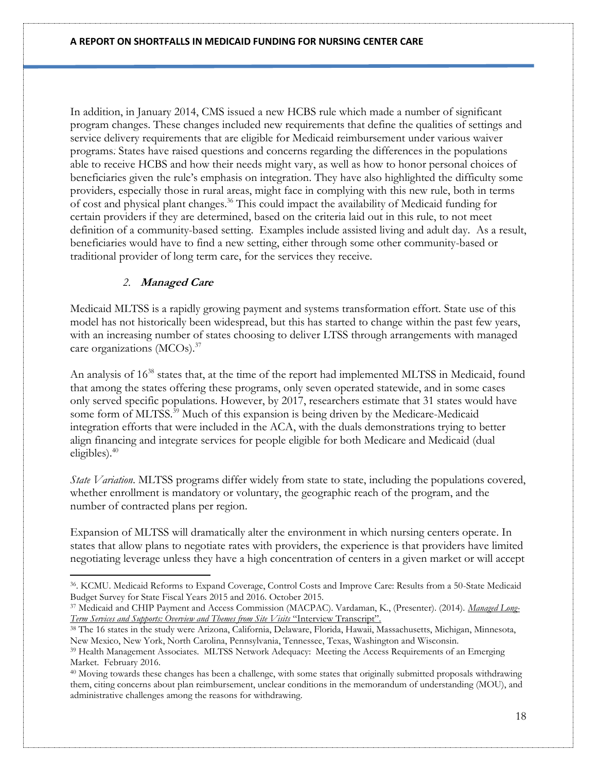In addition, in January 2014, CMS issued a new HCBS rule which made a number of significant program changes. These changes included new requirements that define the qualities of settings and service delivery requirements that are eligible for Medicaid reimbursement under various waiver programs. States have raised questions and concerns regarding the differences in the populations able to receive HCBS and how their needs might vary, as well as how to honor personal choices of beneficiaries given the rule's emphasis on integration. They have also highlighted the difficulty some providers, especially those in rural areas, might face in complying with this new rule, both in terms of cost and physical plant changes. <sup>36</sup> This could impact the availability of Medicaid funding for certain providers if they are determined, based on the criteria laid out in this rule, to not meet definition of a community-based setting. Examples include assisted living and adult day. As a result, beneficiaries would have to find a new setting, either through some other community-based or traditional provider of long term care, for the services they receive.

### *2.* **Managed Care**

l

Medicaid MLTSS is a rapidly growing payment and systems transformation effort. State use of this model has not historically been widespread, but this has started to change within the past few years, with an increasing number of states choosing to deliver LTSS through arrangements with managed care organizations (MCOs). 37

An analysis of  $16^{38}$  states that, at the time of the report had implemented MLTSS in Medicaid, found that among the states offering these programs, only seven operated statewide, and in some cases only served specific populations. However, by 2017, researchers estimate that 31 states would have some form of MLTSS.<sup>39</sup> Much of this expansion is being driven by the Medicare-Medicaid integration efforts that were included in the ACA, with the duals demonstrations trying to better align financing and integrate services for people eligible for both Medicare and Medicaid (dual eligibles). 40

*State Variation*. MLTSS programs differ widely from state to state, including the populations covered, whether enrollment is mandatory or voluntary, the geographic reach of the program, and the number of contracted plans per region.

Expansion of MLTSS will dramatically alter the environment in which nursing centers operate. In states that allow plans to negotiate rates with providers, the experience is that providers have limited negotiating leverage unless they have a high concentration of centers in a given market or will accept

<sup>36</sup> . KCMU. Medicaid Reforms to Expand Coverage, Control Costs and Improve Care: Results from a 50-State Medicaid Budget Survey for State Fiscal Years 2015 and 2016. October 2015.

<sup>37</sup> Medicaid and CHIP Payment and Access Commission (MACPAC). Vardaman, K., (Presenter). (2014). *[Managed Long-](https://a7d050c2-a-10078ef1-s-sites.googlegroups.com/a/macpac.gov/macpac/home/transcripts/MACPAC_2014-10_Transcript.pdf?attachauth=ANoY7cpuyGZAzKhO5gRlu2Zt0EHGnKLctH8_danJhqK4-DGEHeuR3sjLJGAr0HNXaBKcHAjmiyLCODTyDsnKjwHjKEMrFwjaamn7cScR_pwvFYw83O4RL3vMP5cBtaX-MRjk8QLrIj7OiK6HJaaa9WN5WH1-ROywxQsvXEYAduu7bMfGWwl2d3EdOIIaVIEEcCYk6CG0HxL4cQEWD5vZRVVO4lOEK9dbfisZ_d-C0g0ZURfwfO8hA2Ik5XWhrDRj3VPXJRpodgyG&attredirects=0)[Term Services and Supports: Overview and Themes from Site Visits](https://a7d050c2-a-10078ef1-s-sites.googlegroups.com/a/macpac.gov/macpac/home/transcripts/MACPAC_2014-10_Transcript.pdf?attachauth=ANoY7cpuyGZAzKhO5gRlu2Zt0EHGnKLctH8_danJhqK4-DGEHeuR3sjLJGAr0HNXaBKcHAjmiyLCODTyDsnKjwHjKEMrFwjaamn7cScR_pwvFYw83O4RL3vMP5cBtaX-MRjk8QLrIj7OiK6HJaaa9WN5WH1-ROywxQsvXEYAduu7bMfGWwl2d3EdOIIaVIEEcCYk6CG0HxL4cQEWD5vZRVVO4lOEK9dbfisZ_d-C0g0ZURfwfO8hA2Ik5XWhrDRj3VPXJRpodgyG&attredirects=0)* "Interview Transcript".

<sup>38</sup> The 16 states in the study were Arizona, California, Delaware, Florida, Hawaii, Massachusetts, Michigan, Minnesota, New Mexico, New York, North Carolina, Pennsylvania, Tennessee, Texas, Washington and Wisconsin.

<sup>39</sup> Health Management Associates. MLTSS Network Adequacy: Meeting the Access Requirements of an Emerging Market. February 2016.

<sup>40</sup> Moving towards these changes has been a challenge, with some states that originally submitted proposals withdrawing them, citing concerns about plan reimbursement, unclear conditions in the memorandum of understanding (MOU), and administrative challenges among the reasons for withdrawing.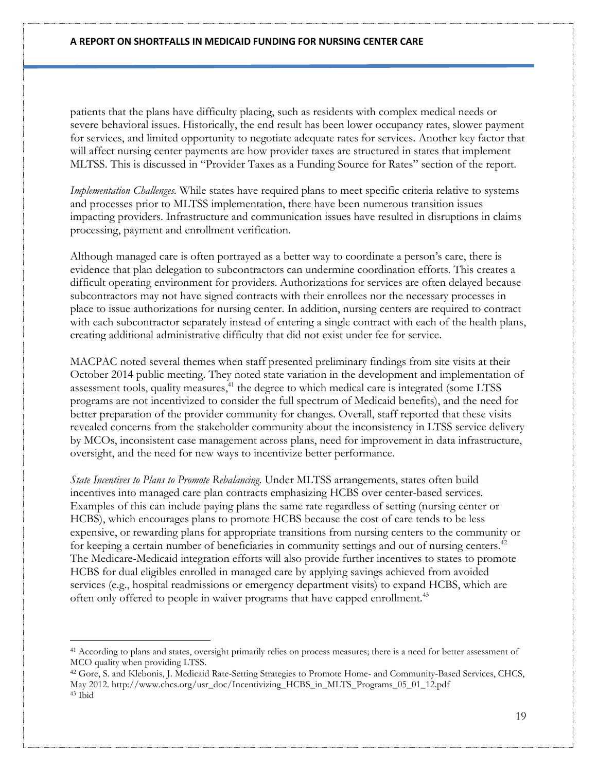patients that the plans have difficulty placing, such as residents with complex medical needs or severe behavioral issues. Historically, the end result has been lower occupancy rates, slower payment for services, and limited opportunity to negotiate adequate rates for services. Another key factor that will affect nursing center payments are how provider taxes are structured in states that implement MLTSS. This is discussed in "Provider Taxes as a Funding Source for Rates" section of the report.

*Implementation Challenges.* While states have required plans to meet specific criteria relative to systems and processes prior to MLTSS implementation, there have been numerous transition issues impacting providers. Infrastructure and communication issues have resulted in disruptions in claims processing, payment and enrollment verification.

Although managed care is often portrayed as a better way to coordinate a person's care, there is evidence that plan delegation to subcontractors can undermine coordination efforts. This creates a difficult operating environment for providers. Authorizations for services are often delayed because subcontractors may not have signed contracts with their enrollees nor the necessary processes in place to issue authorizations for nursing center. In addition, nursing centers are required to contract with each subcontractor separately instead of entering a single contract with each of the health plans, creating additional administrative difficulty that did not exist under fee for service.

MACPAC noted several themes when staff presented preliminary findings from site visits at their October 2014 public meeting. They noted state variation in the development and implementation of assessment tools, quality measures,<sup>41</sup> the degree to which medical care is integrated (some LTSS programs are not incentivized to consider the full spectrum of Medicaid benefits), and the need for better preparation of the provider community for changes. Overall, staff reported that these visits revealed concerns from the stakeholder community about the inconsistency in LTSS service delivery by MCOs, inconsistent case management across plans, need for improvement in data infrastructure, oversight, and the need for new ways to incentivize better performance.

*State Incentives to Plans to Promote Rebalancing.* Under MLTSS arrangements, states often build incentives into managed care plan contracts emphasizing HCBS over center-based services. Examples of this can include paying plans the same rate regardless of setting (nursing center or HCBS), which encourages plans to promote HCBS because the cost of care tends to be less expensive, or rewarding plans for appropriate transitions from nursing centers to the community or for keeping a certain number of beneficiaries in community settings and out of nursing centers.<sup>42</sup> The Medicare-Medicaid integration efforts will also provide further incentives to states to promote HCBS for dual eligibles enrolled in managed care by applying savings achieved from avoided services (e.g., hospital readmissions or emergency department visits) to expand HCBS, which are often only offered to people in waiver programs that have capped enrollment.<sup>43</sup>

 $\overline{a}$ 

<sup>41</sup> According to plans and states, oversight primarily relies on process measures; there is a need for better assessment of MCO quality when providing LTSS.

<sup>42</sup> Gore, S. and Klebonis, J. Medicaid Rate-Setting Strategies to Promote Home- and Community-Based Services, CHCS, May 2012. http://www.chcs.org/usr\_doc/Incentivizing\_HCBS\_in\_MLTS\_Programs\_05\_01\_12.pdf <sup>43</sup> Ibid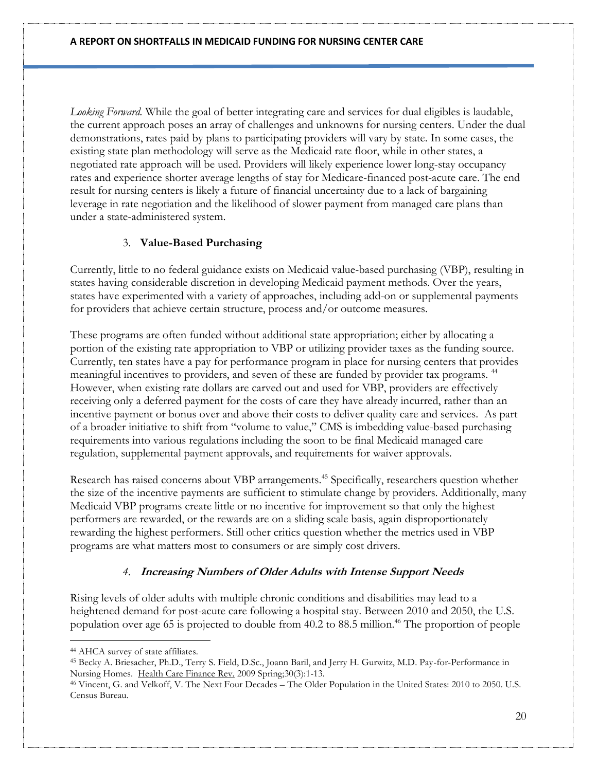*Looking Forward.* While the goal of better integrating care and services for dual eligibles is laudable, the current approach poses an array of challenges and unknowns for nursing centers. Under the dual demonstrations, rates paid by plans to participating providers will vary by state. In some cases, the existing state plan methodology will serve as the Medicaid rate floor, while in other states, a negotiated rate approach will be used. Providers will likely experience lower long-stay occupancy rates and experience shorter average lengths of stay for Medicare-financed post-acute care. The end result for nursing centers is likely a future of financial uncertainty due to a lack of bargaining leverage in rate negotiation and the likelihood of slower payment from managed care plans than under a state-administered system.

## 3. **Value-Based Purchasing**

Currently, little to no federal guidance exists on Medicaid value-based purchasing (VBP), resulting in states having considerable discretion in developing Medicaid payment methods. Over the years, states have experimented with a variety of approaches, including add-on or supplemental payments for providers that achieve certain structure, process and/or outcome measures.

These programs are often funded without additional state appropriation; either by allocating a portion of the existing rate appropriation to VBP or utilizing provider taxes as the funding source. Currently, ten states have a pay for performance program in place for nursing centers that provides meaningful incentives to providers, and seven of these are funded by provider tax programs. 44 However, when existing rate dollars are carved out and used for VBP, providers are effectively receiving only a deferred payment for the costs of care they have already incurred, rather than an incentive payment or bonus over and above their costs to deliver quality care and services. As part of a broader initiative to shift from "volume to value," CMS is imbedding value-based purchasing requirements into various regulations including the soon to be final Medicaid managed care regulation, supplemental payment approvals, and requirements for waiver approvals.

Research has raised concerns about VBP arrangements.<sup>45</sup> Specifically, researchers question whether the size of the incentive payments are sufficient to stimulate change by providers. Additionally, many Medicaid VBP programs create little or no incentive for improvement so that only the highest performers are rewarded, or the rewards are on a sliding scale basis, again disproportionately rewarding the highest performers. Still other critics question whether the metrics used in VBP programs are what matters most to consumers or are simply cost drivers.

# *4.* **Increasing Numbers of Older Adults with Intense Support Needs**

Rising levels of older adults with multiple chronic conditions and disabilities may lead to a heightened demand for post-acute care following a hospital stay. Between 2010 and 2050, the U.S. population over age 65 is projected to double from 40.2 to 88.5 million.<sup>46</sup> The proportion of people

 $\overline{a}$ <sup>44</sup> AHCA survey of state affiliates.

<sup>45</sup> Becky A. Briesacher, Ph.D., Terry S. Field, D.Sc., Joann Baril, and Jerry H. Gurwitz, M.D. Pay-for-Performance in Nursing Homes. [Health Care Finance Rev.](http://www.ncbi.nlm.nih.gov/pubmed/19544931) 2009 Spring;30(3):1-13.

<sup>46</sup> Vincent, G. and Velkoff, V. The Next Four Decades – [The Older Population in the United States: 2010 to 2050. U.S.](http://www.census.gov/prod/2010pubs/p25-1138.pdf)  [Census Bureau.](http://www.census.gov/prod/2010pubs/p25-1138.pdf)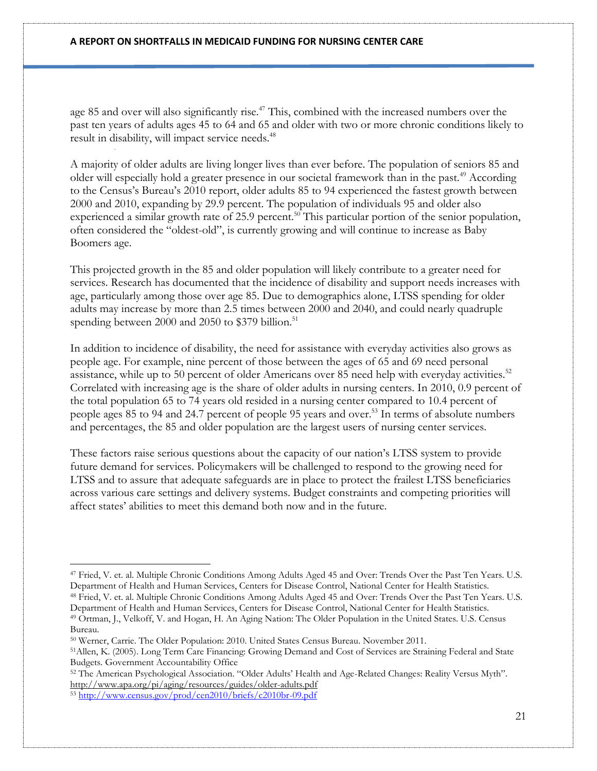age 85 and over will also significantly rise.<sup>47</sup> This, combined with the increased numbers over the past ten years of adults ages 45 to 64 and 65 and older with two or more chronic conditions likely to result in disability, will impact service needs.<sup>48</sup>

A majority of older adults are living longer lives than ever before. The population of seniors 85 and older will especially hold a greater presence in our societal framework than in the past.<sup>49</sup> According to the Census's Bureau's 2010 report, older adults 85 to 94 experienced the fastest growth between 2000 and 2010, expanding by 29.9 percent. The population of individuals 95 and older also experienced a similar growth rate of 25.9 percent.<sup>50</sup> This particular portion of the senior population, often considered the "oldest-old", is currently growing and will continue to increase as Baby Boomers age.

This projected growth in the 85 and older population will likely contribute to a greater need for services. Research has documented that the incidence of disability and support needs increases with age, particularly among those over age 85. Due to demographics alone, LTSS spending for older adults may increase by more than 2.5 times between 2000 and 2040, and could nearly quadruple spending between 2000 and 2050 to  $$379$  billion.<sup>51</sup>

In addition to incidence of disability, the need for assistance with everyday activities also grows as people age. For example, nine percent of those between the ages of 65 and 69 need personal assistance, while up to 50 percent of older Americans over 85 need help with everyday activities.<sup>52</sup> Correlated with increasing age is the share of older adults in nursing centers. In 2010, 0.9 percent of the total population 65 to 74 years old resided in a nursing center compared to 10.4 percent of people ages 85 to 94 and 24.7 percent of people 95 years and over. <sup>53</sup> In terms of absolute numbers and percentages, the 85 and older population are the largest users of nursing center services.

These factors raise serious questions about the capacity of our nation's LTSS system to provide future demand for services. Policymakers will be challenged to respond to the growing need for LTSS and to assure that adequate safeguards are in place to protect the frailest LTSS beneficiaries across various care settings and delivery systems. Budget constraints and competing priorities will affect states' abilities to meet this demand both now and in the future.

 $\overline{a}$ 

<sup>47</sup> Fried, V. et. al. Multiple Chronic Conditions Among Adults Aged 45 and Over: Trends Over the Past Ten Years. U.S. Department of Health and Human Services, Centers for Disease Control, National Center for Health Statistics. <sup>48</sup> Fried, V. et. al. Multiple Chronic Conditions Among Adults Aged 45 and Over: Trends Over the Past Ten Years. U.S. Department of Health and Human Services, Centers for Disease Control, National Center for Health Statistics.

<sup>49</sup> Ortman, J., Velkoff, V. and Hogan, H. An Aging Nation: The Older Population in the United States. U.S. Census Bureau.

<sup>50</sup> Werner, Carrie. The Older Population: 2010. United States Census Bureau. November 2011.

<sup>51</sup>Allen, K. (2005). Long Term Care Financing: Growing Demand and Cost of Services are Straining Federal and State Budgets. Government Accountability Office

<sup>52</sup> The American Psychological Association. "Older Adults' Health and Age-Related Changes: Reality Versus Myth". <http://www.apa.org/pi/aging/resources/guides/older-adults.pdf> <sup>53</sup> <http://www.census.gov/prod/cen2010/briefs/c2010br-09.pdf>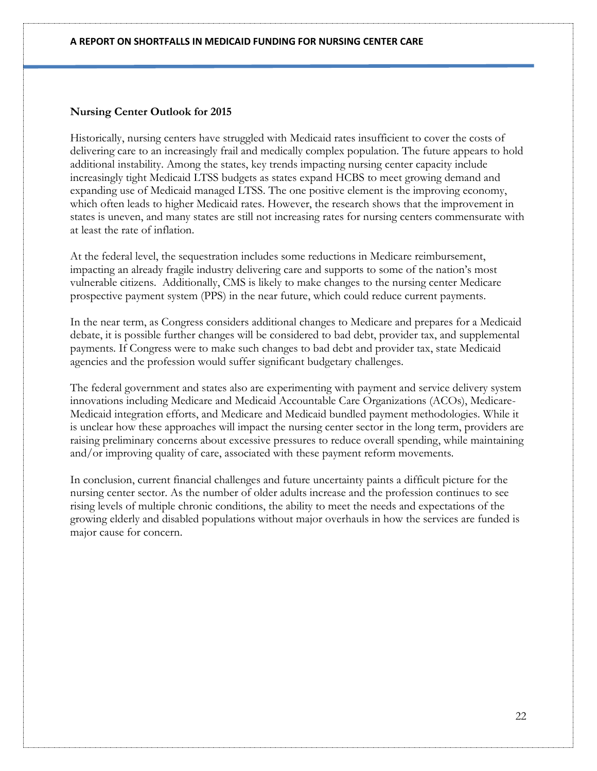### **Nursing Center Outlook for 2015**

Historically, nursing centers have struggled with Medicaid rates insufficient to cover the costs of delivering care to an increasingly frail and medically complex population. The future appears to hold additional instability. Among the states, key trends impacting nursing center capacity include increasingly tight Medicaid LTSS budgets as states expand HCBS to meet growing demand and expanding use of Medicaid managed LTSS. The one positive element is the improving economy, which often leads to higher Medicaid rates. However, the research shows that the improvement in states is uneven, and many states are still not increasing rates for nursing centers commensurate with at least the rate of inflation.

At the federal level, the sequestration includes some reductions in Medicare reimbursement, impacting an already fragile industry delivering care and supports to some of the nation's most vulnerable citizens. Additionally, CMS is likely to make changes to the nursing center Medicare prospective payment system (PPS) in the near future, which could reduce current payments.

In the near term, as Congress considers additional changes to Medicare and prepares for a Medicaid debate, it is possible further changes will be considered to bad debt, provider tax, and supplemental payments. If Congress were to make such changes to bad debt and provider tax, state Medicaid agencies and the profession would suffer significant budgetary challenges.

The federal government and states also are experimenting with payment and service delivery system innovations including Medicare and Medicaid Accountable Care Organizations (ACOs), Medicare-Medicaid integration efforts, and Medicare and Medicaid bundled payment methodologies. While it is unclear how these approaches will impact the nursing center sector in the long term, providers are raising preliminary concerns about excessive pressures to reduce overall spending, while maintaining and/or improving quality of care, associated with these payment reform movements.

In conclusion, current financial challenges and future uncertainty paints a difficult picture for the nursing center sector. As the number of older adults increase and the profession continues to see rising levels of multiple chronic conditions, the ability to meet the needs and expectations of the growing elderly and disabled populations without major overhauls in how the services are funded is major cause for concern.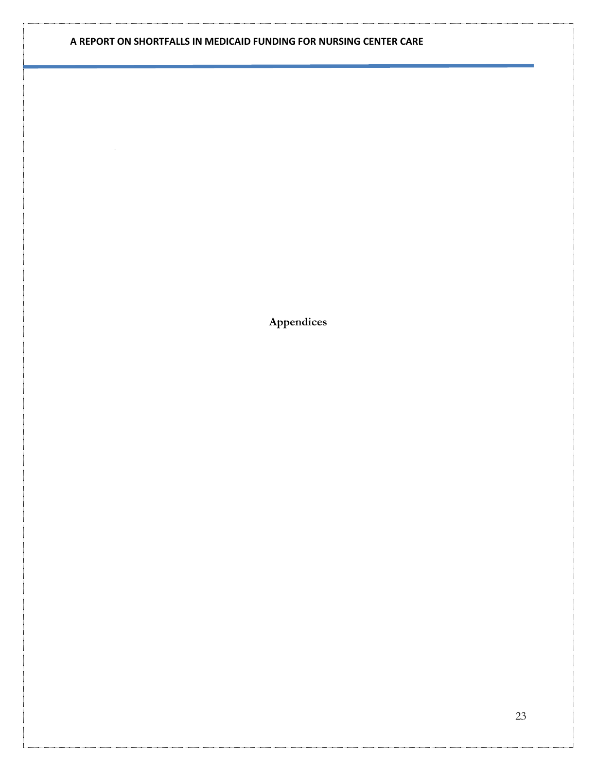**Appendices**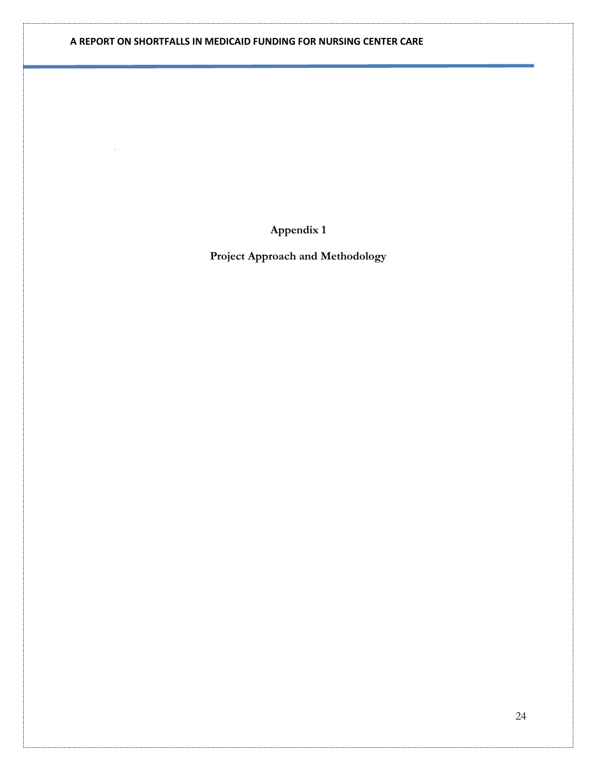**Appendix 1**

**Project Approach and Methodology**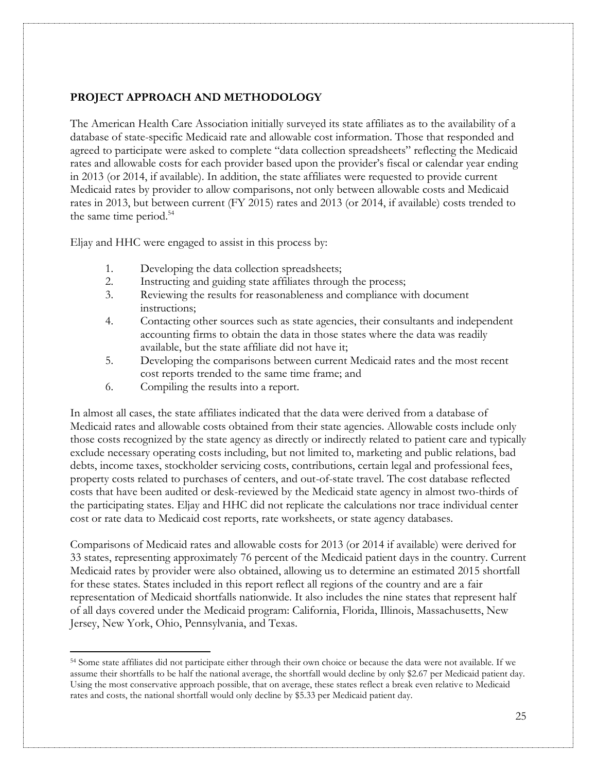### **PROJECT APPROACH AND METHODOLOGY**

The American Health Care Association initially surveyed its state affiliates as to the availability of a database of state-specific Medicaid rate and allowable cost information. Those that responded and agreed to participate were asked to complete "data collection spreadsheets" reflecting the Medicaid rates and allowable costs for each provider based upon the provider's fiscal or calendar year ending in 2013 (or 2014, if available). In addition, the state affiliates were requested to provide current Medicaid rates by provider to allow comparisons, not only between allowable costs and Medicaid rates in 2013, but between current (FY 2015) rates and 2013 (or 2014, if available) costs trended to the same time period.<sup>54</sup>

Eljay and HHC were engaged to assist in this process by:

- 1. Developing the data collection spreadsheets;
- 2. Instructing and guiding state affiliates through the process;
- 3. Reviewing the results for reasonableness and compliance with document instructions;
- 4. Contacting other sources such as state agencies, their consultants and independent accounting firms to obtain the data in those states where the data was readily available, but the state affiliate did not have it;
- 5. Developing the comparisons between current Medicaid rates and the most recent cost reports trended to the same time frame; and
- 6. Compiling the results into a report.

l

In almost all cases, the state affiliates indicated that the data were derived from a database of Medicaid rates and allowable costs obtained from their state agencies. Allowable costs include only those costs recognized by the state agency as directly or indirectly related to patient care and typically exclude necessary operating costs including, but not limited to, marketing and public relations, bad debts, income taxes, stockholder servicing costs, contributions, certain legal and professional fees, property costs related to purchases of centers, and out-of-state travel. The cost database reflected costs that have been audited or desk-reviewed by the Medicaid state agency in almost two-thirds of the participating states. Eljay and HHC did not replicate the calculations nor trace individual center cost or rate data to Medicaid cost reports, rate worksheets, or state agency databases.

Comparisons of Medicaid rates and allowable costs for 2013 (or 2014 if available) were derived for 33 states, representing approximately 76 percent of the Medicaid patient days in the country. Current Medicaid rates by provider were also obtained, allowing us to determine an estimated 2015 shortfall for these states. States included in this report reflect all regions of the country and are a fair representation of Medicaid shortfalls nationwide. It also includes the nine states that represent half of all days covered under the Medicaid program: California, Florida, Illinois, Massachusetts, New Jersey, New York, Ohio, Pennsylvania, and Texas.

<sup>&</sup>lt;sup>54</sup> Some state affiliates did not participate either through their own choice or because the data were not available. If we assume their shortfalls to be half the national average, the shortfall would decline by only \$2.67 per Medicaid patient day. Using the most conservative approach possible, that on average, these states reflect a break even relative to Medicaid rates and costs, the national shortfall would only decline by \$5.33 per Medicaid patient day.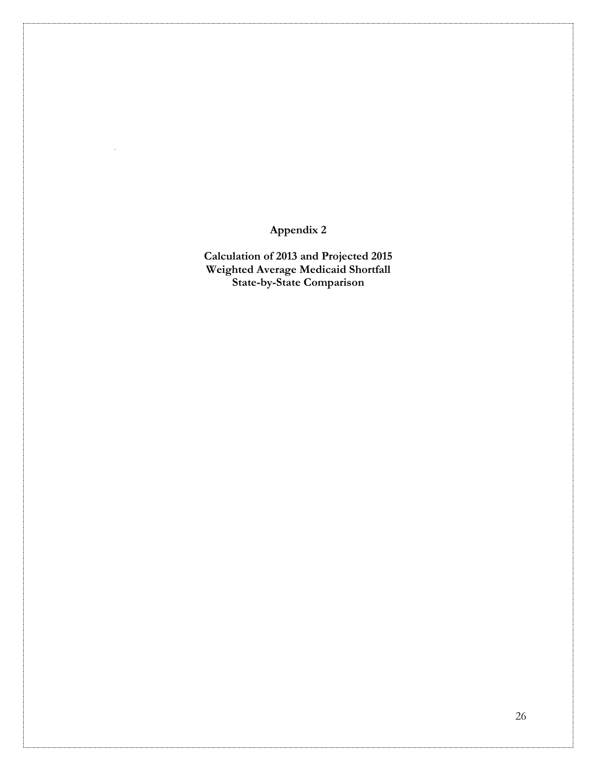**Appendix 2**

**Calculation of 2013 and Projected 2015 Weighted Average Medicaid Shortfall State-by-State Comparison**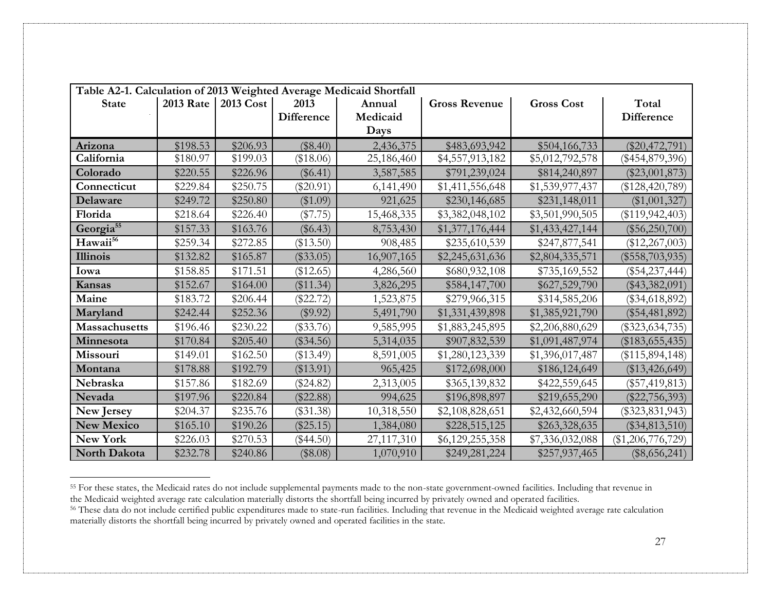| Table A2-1. Calculation of 2013 Weighted Average Medicaid Shortfall |                  |           |             |            |                      |                   |                     |  |  |  |
|---------------------------------------------------------------------|------------------|-----------|-------------|------------|----------------------|-------------------|---------------------|--|--|--|
| <b>State</b>                                                        | <b>2013 Rate</b> | 2013 Cost | 2013        | Annual     | <b>Gross Revenue</b> | <b>Gross Cost</b> | Total               |  |  |  |
|                                                                     |                  |           | Difference  | Medicaid   |                      |                   | <b>Difference</b>   |  |  |  |
|                                                                     |                  |           |             | Days       |                      |                   |                     |  |  |  |
| Arizona                                                             | \$198.53         | \$206.93  | (\$8.40)    | 2,436,375  | \$483,693,942        | \$504,166,733     | $(\$20,472,791)$    |  |  |  |
| California                                                          | \$180.97         | \$199.03  | (\$18.06)   | 25,186,460 | \$4,557,913,182      | \$5,012,792,578   | $(\$454,879,396)$   |  |  |  |
| Colorado                                                            | \$220.55         | \$226.96  | $(\$6.41)$  | 3,587,585  | \$791,239,024        | \$814,240,897     | $(\$23,001,873)$    |  |  |  |
| Connecticut                                                         | \$229.84         | \$250.75  | $(\$20.91)$ | 6,141,490  | \$1,411,556,648      | \$1,539,977,437   | $(\$128,420,789)$   |  |  |  |
| Delaware                                                            | \$249.72         | \$250.80  | (\$1.09)    | 921,625    | \$230,146,685        | \$231,148,011     | $(\$1,001,327)$     |  |  |  |
| Florida                                                             | \$218.64         | \$226.40  | $(\$7.75)$  | 15,468,335 | \$3,382,048,102      | \$3,501,990,505   | $(\$119,942,403)$   |  |  |  |
| Georgia <sup>55</sup>                                               | \$157.33         | \$163.76  | $(\$6.43)$  | 8,753,430  | \$1,377,176,444      | \$1,433,427,144   | $(\$56,250,700)$    |  |  |  |
| Hawaii <sup>56</sup>                                                | \$259.34         | \$272.85  | (\$13.50)   | 908,485    | \$235,610,539        | \$247,877,541     | $(\$12,267,003)$    |  |  |  |
| Illinois                                                            | \$132.82         | \$165.87  | $(\$33.05)$ | 16,907,165 | \$2,245,631,636      | \$2,804,335,571   | $(\$558,703,935)$   |  |  |  |
| Iowa                                                                | \$158.85         | \$171.51  | (\$12.65)   | 4,286,560  | \$680,932,108        | \$735,169,552     | $(\$54,237,444)$    |  |  |  |
| Kansas                                                              | \$152.67         | \$164.00  | (\$11.34)   | 3,826,295  | \$584,147,700        | \$627,529,790     | $(\$43,382,091)$    |  |  |  |
| Maine                                                               | \$183.72         | \$206.44  | $(\$22.72)$ | 1,523,875  | \$279,966,315        | \$314,585,206     | $(\$34,618,892)$    |  |  |  |
| Maryland                                                            | \$242.44         | \$252.36  | (\$9.92)    | 5,491,790  | \$1,331,439,898      | \$1,385,921,790   | $(\$54,481,892)$    |  |  |  |
| <b>Massachusetts</b>                                                | \$196.46         | \$230.22  | $(\$33.76)$ | 9,585,995  | \$1,883,245,895      | \$2,206,880,629   | $(\$323,634,735)$   |  |  |  |
| Minnesota                                                           | \$170.84         | \$205.40  | $(\$34.56)$ | 5,314,035  | \$907,832,539        | \$1,091,487,974   | $(\$183,655,435)$   |  |  |  |
| Missouri                                                            | \$149.01         | \$162.50  | $(\$13.49)$ | 8,591,005  | \$1,280,123,339      | \$1,396,017,487   | (\$115,894,148)     |  |  |  |
| Montana                                                             | \$178.88         | \$192.79  | $(\$13.91)$ | 965,425    | \$172,698,000        | \$186,124,649     | $(\$13,426,649)$    |  |  |  |
| Nebraska                                                            | \$157.86         | \$182.69  | $(\$24.82)$ | 2,313,005  | \$365,139,832        | \$422,559,645     | $(\$57,419,813)$    |  |  |  |
| <b>Nevada</b>                                                       | \$197.96         | \$220.84  | $(\$22.88)$ | 994,625    | \$196,898,897        | \$219,655,290     | $(\$22,756,393)$    |  |  |  |
| <b>New Jersey</b>                                                   | \$204.37         | \$235.76  | $(\$31.38)$ | 10,318,550 | \$2,108,828,651      | \$2,432,660,594   | $(\$323,831,943)$   |  |  |  |
| <b>New Mexico</b>                                                   | \$165.10         | \$190.26  | $(\$25.15)$ | 1,384,080  | \$228,515,125        | \$263,328,635     | $(\$34,813,510)$    |  |  |  |
| <b>New York</b>                                                     | \$226.03         | \$270.53  | $(\$44.50)$ | 27,117,310 | \$6,129,255,358      | \$7,336,032,088   | $(\$1,206,776,729)$ |  |  |  |
| North Dakota                                                        | \$232.78         | \$240.86  | (\$8.08)    | 1,070,910  | \$249,281,224        | \$257,937,465     | $(\$8,656,241)$     |  |  |  |

<sup>&</sup>lt;sup>55</sup> For these states, the Medicaid rates do not include supplemental payments made to the non-state government-owned facilities. Including that revenue in the Medicaid weighted average rate calculation materially distorts the shortfall being incurred by privately owned and operated facilities.

l

<sup>&</sup>lt;sup>56</sup> These data do not include certified public expenditures made to state-run facilities. Including that revenue in the Medicaid weighted average rate calculation materially distorts the shortfall being incurred by privately owned and operated facilities in the state.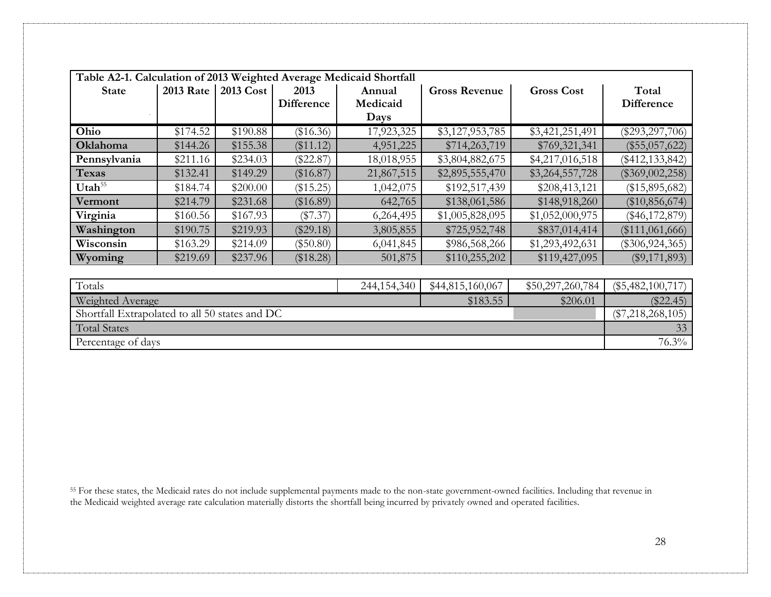| Table A2-1. Calculation of 2013 Weighted Average Medicaid Shortfall |                  |           |             |            |                      |                   |                     |  |  |  |
|---------------------------------------------------------------------|------------------|-----------|-------------|------------|----------------------|-------------------|---------------------|--|--|--|
| <b>State</b>                                                        | <b>2013 Rate</b> | 2013 Cost | 2013        | Annual     | <b>Gross Revenue</b> | <b>Gross Cost</b> | Total               |  |  |  |
|                                                                     |                  |           | Difference  | Medicaid   |                      |                   | <b>Difference</b>   |  |  |  |
|                                                                     |                  |           |             | Days       |                      |                   |                     |  |  |  |
| Ohio                                                                | \$174.52         | \$190.88  | (\$16.36)   | 17,923,325 | \$3,127,953,785      | \$3,421,251,491   | $(\$293,297,706)$   |  |  |  |
| Oklahoma                                                            | \$144.26         | \$155.38  | (\$11.12)   | 4,951,225  | \$714,263,719        | \$769,321,341     | $(\$55,057,622)$    |  |  |  |
| Pennsylvania                                                        | \$211.16         | \$234.03  | $(\$22.87)$ | 18,018,955 | \$3,804,882,675      | \$4,217,016,518   | $(\$412, 133, 842)$ |  |  |  |
| <b>Texas</b>                                                        | \$132.41         | \$149.29  | (\$16.87)   | 21,867,515 | \$2,895,555,470      | \$3,264,557,728   | $(\$369,002,258)$   |  |  |  |
| Utah <sup>55</sup>                                                  | \$184.74         | \$200.00  | (\$15.25)   | 1,042,075  | \$192,517,439        | \$208,413,121     | $(\$15,895,682)$    |  |  |  |
| Vermont                                                             | \$214.79         | \$231.68  | $(\$16.89)$ | 642,765    | \$138,061,586        | \$148,918,260     | $(\$10,856,674)$    |  |  |  |
| Virginia                                                            | \$160.56         | \$167.93  | $(\$7.37)$  | 6,264,495  | \$1,005,828,095      | \$1,052,000,975   | $(\$46,172,879)$    |  |  |  |
| Washington                                                          | \$190.75         | \$219.93  | $(\$29.18)$ | 3,805,855  | \$725,952,748        | \$837,014,414     | (\$111,061,666)     |  |  |  |
| Wisconsin                                                           | \$163.29         | \$214.09  | $(\$50.80)$ | 6,041,845  | \$986,568,266        | \$1,293,492,631   | $(\$306,924,365)$   |  |  |  |
| Wyoming                                                             | \$219.69         | \$237.96  | (\$18.28)   | 501,875    | \$110,255,202        | \$119,427,095     | $(\$9,171,893)$     |  |  |  |
|                                                                     |                  |           |             |            |                      |                   |                     |  |  |  |
| Totals<br>\$44,815,160,067<br>244,154,340<br>\$50,297,260,784       |                  |           |             |            |                      |                   |                     |  |  |  |
| Weighted Average<br>\$183.55<br>\$206.01                            |                  |           |             |            |                      |                   |                     |  |  |  |
| Shortfall Extrapolated to all 50 states and DC                      |                  |           |             |            |                      |                   |                     |  |  |  |
| <b>Total States</b>                                                 |                  |           |             |            |                      |                   |                     |  |  |  |
| Percentage of days                                                  |                  |           |             |            |                      |                   | $76.3\%$            |  |  |  |

<sup>55</sup> For these states, the Medicaid rates do not include supplemental payments made to the non-state government-owned facilities. Including that revenue in the Medicaid weighted average rate calculation materially distorts the shortfall being incurred by privately owned and operated facilities.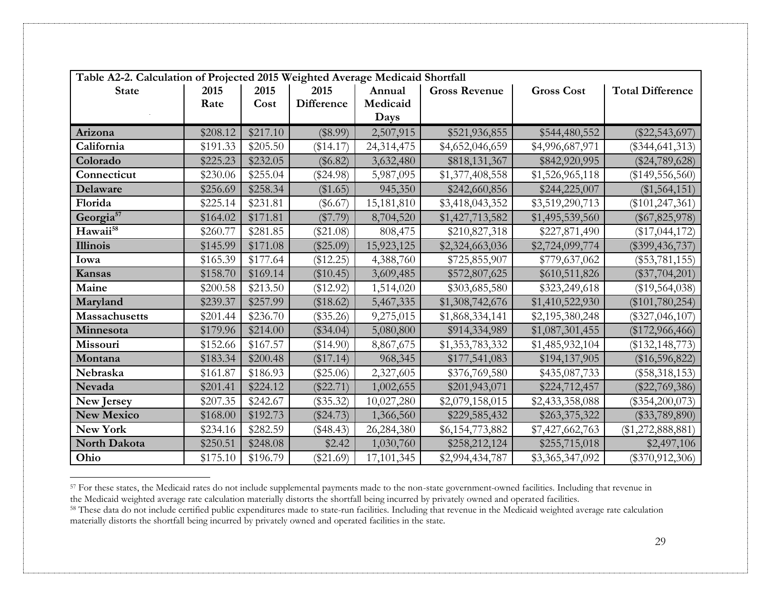| Table A2-2. Calculation of Projected 2015 Weighted Average Medicaid Shortfall |          |          |                   |            |                      |                   |                         |  |  |
|-------------------------------------------------------------------------------|----------|----------|-------------------|------------|----------------------|-------------------|-------------------------|--|--|
| <b>State</b>                                                                  | 2015     | 2015     | 2015              | Annual     | <b>Gross Revenue</b> | <b>Gross Cost</b> | <b>Total Difference</b> |  |  |
|                                                                               | Rate     | Cost     | <b>Difference</b> | Medicaid   |                      |                   |                         |  |  |
|                                                                               |          |          |                   | Days       |                      |                   |                         |  |  |
| Arizona                                                                       | \$208.12 | \$217.10 | (\$8.99)          | 2,507,915  | \$521,936,855        | \$544,480,552     | $(\$22,543,697)$        |  |  |
| California                                                                    | \$191.33 | \$205.50 | (\$14.17)         | 24,314,475 | \$4,652,046,659      | \$4,996,687,971   | $(\$344, 641, 313)$     |  |  |
| Colorado                                                                      | \$225.23 | \$232.05 | $(\$6.82)$        | 3,632,480  | \$818,131,367        | \$842,920,995     | $(\$24,789,628)$        |  |  |
| Connecticut                                                                   | \$230.06 | \$255.04 | $(\$24.98)$       | 5,987,095  | \$1,377,408,558      | \$1,526,965,118   | $(\$149,556,560)$       |  |  |
| Delaware                                                                      | \$256.69 | \$258.34 | (\$1.65)          | 945,350    | \$242,660,856        | \$244,225,007     | $(\$1,564,151)$         |  |  |
| Florida                                                                       | \$225.14 | \$231.81 | $(\$6.67)$        | 15,181,810 | \$3,418,043,352      | \$3,519,290,713   | $(\$101, 247, 361)$     |  |  |
| Georgia <sup>57</sup>                                                         | \$164.02 | \$171.81 | $(\$7.79)$        | 8,704,520  | \$1,427,713,582      | \$1,495,539,560   | $(\$67,825,978)$        |  |  |
| Hawaii <sup>58</sup>                                                          | \$260.77 | \$281.85 | $(\$21.08)$       | 808,475    | \$210,827,318        | \$227,871,490     | $(\$17,044,172)$        |  |  |
| <b>Illinois</b>                                                               | \$145.99 | \$171.08 | $(\$25.09)$       | 15,923,125 | \$2,324,663,036      | \$2,724,099,774   | $(\$399,436,737)$       |  |  |
| Iowa                                                                          | \$165.39 | \$177.64 | (\$12.25)         | 4,388,760  | \$725,855,907        | \$779,637,062     | $(\$53,781,155)$        |  |  |
| Kansas                                                                        | \$158.70 | \$169.14 | $(\$10.45)$       | 3,609,485  | \$572,807,625        | \$610,511,826     | $(\$37,704,201)$        |  |  |
| Maine                                                                         | \$200.58 | \$213.50 | (\$12.92)         | 1,514,020  | \$303,685,580        | \$323,249,618     | $(\$19,564,038)$        |  |  |
| Maryland                                                                      | \$239.37 | \$257.99 | (\$18.62)         | 5,467,335  | \$1,308,742,676      | \$1,410,522,930   | $(\$101,780,254)$       |  |  |
| <b>Massachusetts</b>                                                          | \$201.44 | \$236.70 | $(\$35.26)$       | 9,275,015  | \$1,868,334,141      | \$2,195,380,248   | $(\$327,046,107)$       |  |  |
| Minnesota                                                                     | \$179.96 | \$214.00 | (\$34.04)         | 5,080,800  | \$914,334,989        | \$1,087,301,455   | $(\$172,966,466)$       |  |  |
| Missouri                                                                      | \$152.66 | \$167.57 | (\$14.90)         | 8,867,675  | \$1,353,783,332      | \$1,485,932,104   | $(\$132, 148, 773)$     |  |  |
| Montana                                                                       | \$183.34 | \$200.48 | (\$17.14)         | 968,345    | \$177,541,083        | \$194,137,905     | $(\$16,596,822)$        |  |  |
| Nebraska                                                                      | \$161.87 | \$186.93 | $(\$25.06)$       | 2,327,605  | \$376,769,580        | \$435,087,733     | $(\$58,318,153)$        |  |  |
| Nevada                                                                        | \$201.41 | \$224.12 | $(\$22.71)$       | 1,002,655  | \$201,943,071        | \$224,712,457     | $(\$22,769,386)$        |  |  |
| New Jersey                                                                    | \$207.35 | \$242.67 | $(\$35.32)$       | 10,027,280 | \$2,079,158,015      | \$2,433,358,088   | $(\$354,200,073)$       |  |  |
| <b>New Mexico</b>                                                             | \$168.00 | \$192.73 | (\$24.73)         | 1,366,560  | \$229,585,432        | \$263,375,322     | $(\$33,789,890)$        |  |  |
| New York                                                                      | \$234.16 | \$282.59 | $(\$48.43)$       | 26,284,380 | \$6,154,773,882      | \$7,427,662,763   | $(\$1,272,888,881)$     |  |  |
| North Dakota                                                                  | \$250.51 | \$248.08 | \$2.42            | 1,030,760  | \$258,212,124        | \$255,715,018     | \$2,497,106             |  |  |
| Ohio                                                                          | \$175.10 | \$196.79 | $(\$21.69)$       | 17,101,345 | \$2,994,434,787      | \$3,365,347,092   | $(\$370,912,306)$       |  |  |

<sup>&</sup>lt;sup>57</sup> For these states, the Medicaid rates do not include supplemental payments made to the non-state government-owned facilities. Including that revenue in the Medicaid weighted average rate calculation materially distorts the shortfall being incurred by privately owned and operated facilities.

l

<sup>&</sup>lt;sup>58</sup> These data do not include certified public expenditures made to state-run facilities. Including that revenue in the Medicaid weighted average rate calculation materially distorts the shortfall being incurred by privately owned and operated facilities in the state.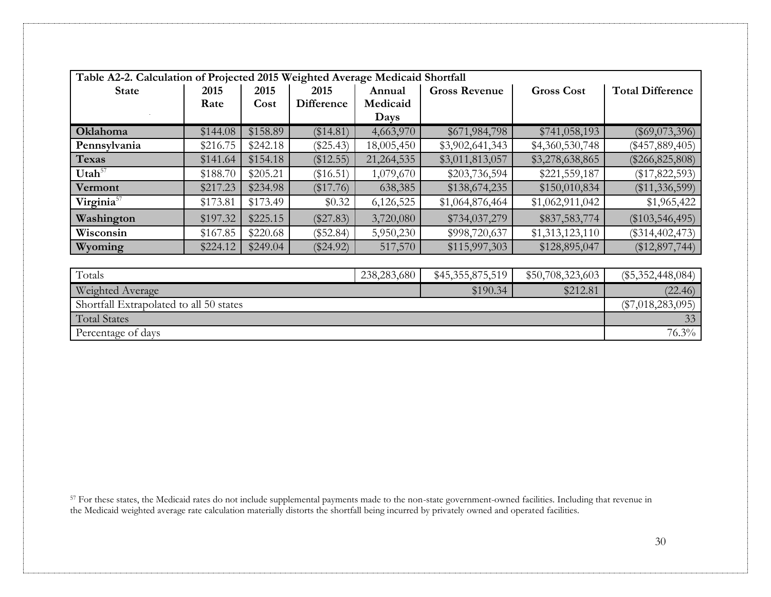| Table A2-2. Calculation of Projected 2015 Weighted Average Medicaid Shortfall |                     |          |                   |            |                      |                   |                         |  |  |
|-------------------------------------------------------------------------------|---------------------|----------|-------------------|------------|----------------------|-------------------|-------------------------|--|--|
| <b>State</b>                                                                  | 2015                | 2015     | 2015              | Annual     | <b>Gross Revenue</b> | <b>Gross Cost</b> | <b>Total Difference</b> |  |  |
|                                                                               | Rate                | Cost     | <b>Difference</b> | Medicaid   |                      |                   |                         |  |  |
|                                                                               |                     |          |                   | Days       |                      |                   |                         |  |  |
| Oklahoma                                                                      | \$144.08            | \$158.89 | (\$14.81)         | 4,663,970  | \$671,984,798        | \$741,058,193     | $(\$69,073,396)$        |  |  |
| Pennsylvania                                                                  | \$216.75            | \$242.18 | $(\$25.43)$       | 18,005,450 | \$3,902,641,343      | \$4,360,530,748   | $(\$457,889,405)$       |  |  |
| <b>Texas</b>                                                                  | \$141.64            | \$154.18 | (\$12.55)         | 21,264,535 | \$3,011,813,057      | \$3,278,638,865   | $(\$266, 825, 808)$     |  |  |
| Utah <sup>57</sup>                                                            | \$188.70            | \$205.21 | (\$16.51)         | 1,079,670  | \$203,736,594        | \$221,559,187     | $(\$17,822,593)$        |  |  |
| Vermont                                                                       | \$217.23            | \$234.98 | (\$17.76)         | 638,385    | \$138,674,235        | \$150,010,834     | $(\$11,336,599)$        |  |  |
| Virginia <sup>57</sup>                                                        | \$173.81            | \$173.49 | \$0.32            | 6,126,525  | \$1,064,876,464      | \$1,062,911,042   | \$1,965,422             |  |  |
| Washington                                                                    | \$197.32            | \$225.15 | $(\$27.83)$       | 3,720,080  | \$734,037,279        | \$837,583,774     | $(\$103,546,495)$       |  |  |
| Wisconsin                                                                     | \$167.85            | \$220.68 | $(\$52.84)$       | 5,950,230  | \$998,720,637        | \$1,313,123,110   | $(\$314,402,473)$       |  |  |
| Wyoming                                                                       | \$224.12            | \$249.04 | $(\$24.92)$       | 517,570    | \$115,997,303        | \$128,895,047     | $(\$12,897,744)$        |  |  |
|                                                                               |                     |          |                   |            |                      |                   |                         |  |  |
| Totals                                                                        | $(\$5,352,448,084)$ |          |                   |            |                      |                   |                         |  |  |
| Weighted Average<br>\$212.81<br>\$190.34                                      |                     |          |                   |            |                      |                   |                         |  |  |
| Shortfall Extrapolated to all 50 states                                       |                     |          |                   |            |                      |                   | $(\$7,018,283,095)$     |  |  |
| <b>Total States</b>                                                           |                     |          |                   |            |                      |                   | 33                      |  |  |

Percentage of days 76.3%

<sup>57</sup> For these states, the Medicaid rates do not include supplemental payments made to the non-state government-owned facilities. Including that revenue in the Medicaid weighted average rate calculation materially distorts the shortfall being incurred by privately owned and operated facilities.

30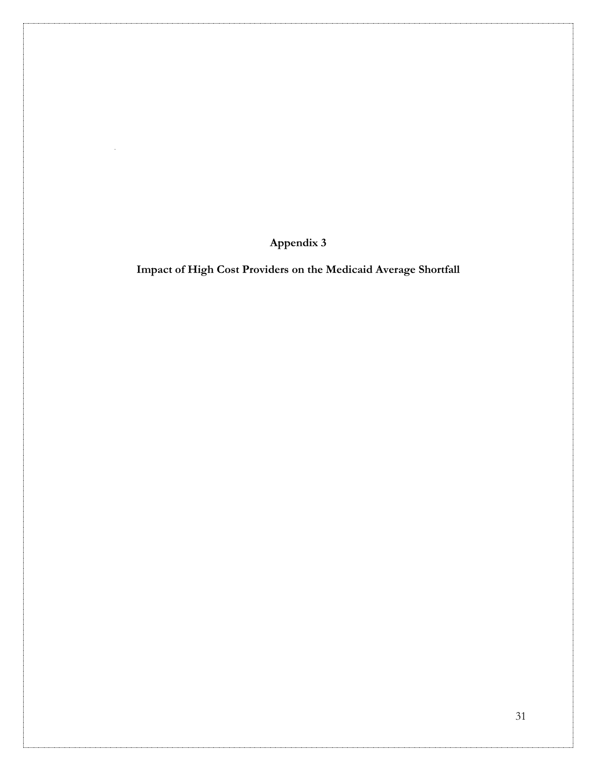**Appendix 3**

**Impact of High Cost Providers on the Medicaid Average Shortfall**